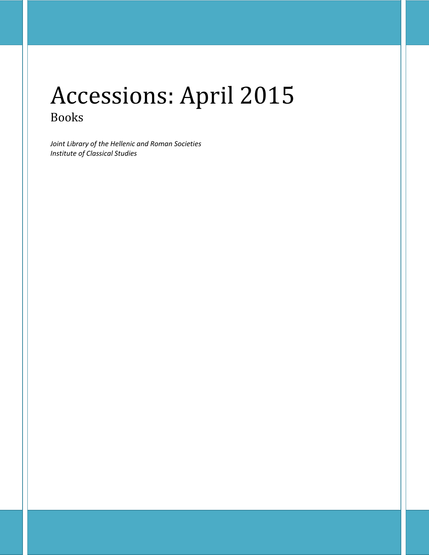# Accessions: April 2015 Books

*Joint Library of the Hellenic and Roman Societies Institute of Classical Studies*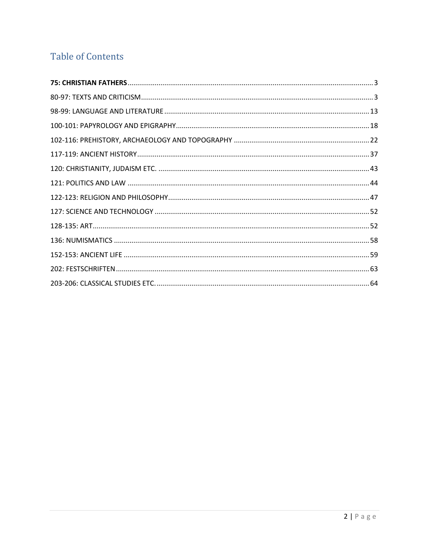## **Table of Contents**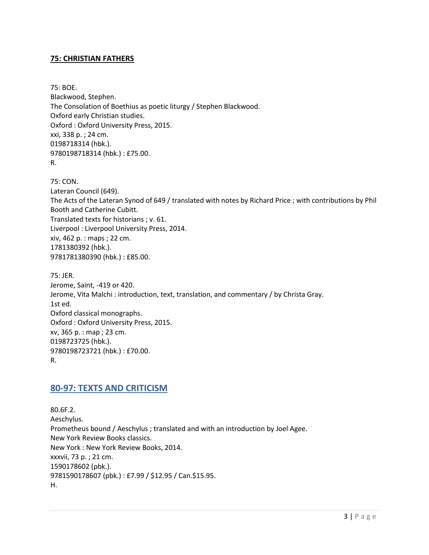#### <span id="page-2-0"></span>**75: CHRISTIAN FATHERS**

75: BOE. Blackwood, Stephen. The Consolation of Boethius as poetic liturgy / Stephen Blackwood. Oxford early Christian studies. Oxford : Oxford University Press, 2015. xxi, 338 p. ; 24 cm. 0198718314 (hbk.). 9780198718314 (hbk.) : £75.00. R.

75: CON. Lateran Council (649). The Acts of the Lateran Synod of 649 / translated with notes by Richard Price ; with contributions by Phil Booth and Catherine Cubitt. Translated texts for historians ; v. 61. Liverpool : Liverpool University Press, 2014. xiv, 462 p. : maps ; 22 cm. 1781380392 (hbk.). 9781781380390 (hbk.) : £85.00.

75: JER. Jerome, Saint, -419 or 420. Jerome, Vita Malchi : introduction, text, translation, and commentary / by Christa Gray. 1st ed. Oxford classical monographs. Oxford : Oxford University Press, 2015. xv, 365 p. : map ; 23 cm. 0198723725 (hbk.). 9780198723721 (hbk.) : £70.00. R.

## <span id="page-2-1"></span>**80-97: TEXTS AND CRITICISM**

80.6F.2. Aeschylus. Prometheus bound / Aeschylus ; translated and with an introduction by Joel Agee. New York Review Books classics. New York : New York Review Books, 2014. xxxvii, 73 p. ; 21 cm. 1590178602 (pbk.). 9781590178607 (pbk.) : £7.99 / \$12.95 / Can.\$15.95. H.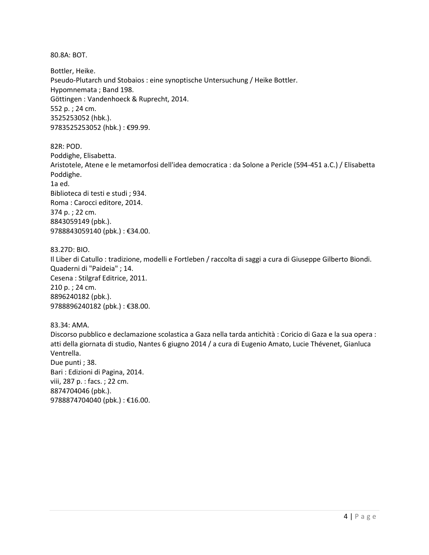80.8A: BOT.

Bottler, Heike. Pseudo-Plutarch und Stobaios : eine synoptische Untersuchung / Heike Bottler. Hypomnemata ; Band 198. Göttingen : Vandenhoeck & Ruprecht, 2014. 552 p. ; 24 cm. 3525253052 (hbk.). 9783525253052 (hbk.) : €99.99.

82R: POD. Poddighe, Elisabetta. Aristotele, Atene e le metamorfosi dell'idea democratica : da Solone a Pericle (594-451 a.C.) / Elisabetta Poddighe. 1a ed. Biblioteca di testi e studi ; 934. Roma : Carocci editore, 2014. 374 p. ; 22 cm. 8843059149 (pbk.). 9788843059140 (pbk.) : €34.00.

83.27D: BIO. Il Liber di Catullo : tradizione, modelli e Fortleben / raccolta di saggi a cura di Giuseppe Gilberto Biondi. Quaderni di "Paideia" ; 14. Cesena : Stilgraf Editrice, 2011. 210 p. ; 24 cm. 8896240182 (pbk.). 9788896240182 (pbk.): €38.00.

83.34: AMA. Discorso pubblico e declamazione scolastica a Gaza nella tarda antichità : Coricio di Gaza e la sua opera : atti della giornata di studio, Nantes 6 giugno 2014 / a cura di Eugenio Amato, Lucie Thévenet, Gianluca Ventrella. Due punti ; 38. Bari : Edizioni di Pagina, 2014. viii, 287 p. : facs. ; 22 cm. 8874704046 (pbk.). 9788874704040 (pbk.) : €16.00.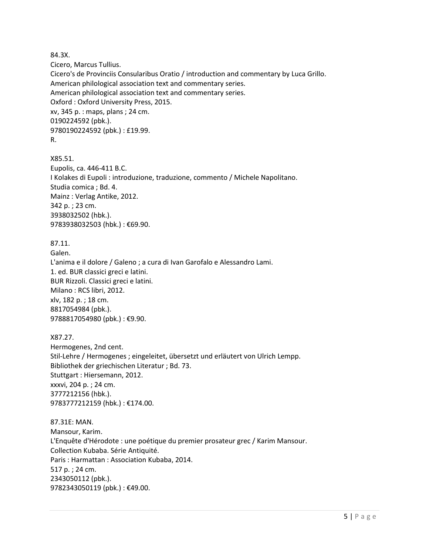84.3X.

Cicero, Marcus Tullius.

Cicero's de Provinciis Consularibus Oratio / introduction and commentary by Luca Grillo. American philological association text and commentary series. American philological association text and commentary series. Oxford : Oxford University Press, 2015. xv, 345 p. : maps, plans ; 24 cm. 0190224592 (pbk.). 9780190224592 (pbk.) : £19.99. R.

X85.51. Eupolis, ca. 446-411 B.C. I Kolakes di Eupoli : introduzione, traduzione, commento / Michele Napolitano. Studia comica ; Bd. 4. Mainz : Verlag Antike, 2012. 342 p. ; 23 cm. 3938032502 (hbk.). 9783938032503 (hbk.) : €69.90.

### 87.11.

Galen. L'anima e il dolore / Galeno ; a cura di Ivan Garofalo e Alessandro Lami. 1. ed. BUR classici greci e latini. BUR Rizzoli. Classici greci e latini. Milano : RCS libri, 2012. xlv, 182 p. ; 18 cm. 8817054984 (pbk.). 9788817054980 (pbk.) : €9.90.

X87.27. Hermogenes, 2nd cent. Stil-Lehre / Hermogenes ; eingeleitet, übersetzt und erläutert von Ulrich Lempp. Bibliothek der griechischen Literatur ; Bd. 73. Stuttgart : Hiersemann, 2012. xxxvi, 204 p. ; 24 cm. 3777212156 (hbk.). 9783777212159 (hbk.) : €174.00.

87.31E: MAN. Mansour, Karim. L'Enquête d'Hérodote : une poétique du premier prosateur grec / Karim Mansour. Collection Kubaba. Série Antiquité. Paris : Harmattan : Association Kubaba, 2014. 517 p. ; 24 cm. 2343050112 (pbk.). 9782343050119 (pbk.) : €49.00.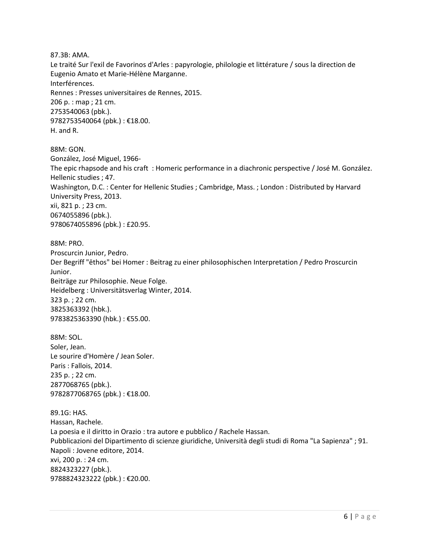87.3B: AMA.

Le traité Sur l'exil de Favorinos d'Arles : papyrologie, philologie et littérature / sous la direction de Eugenio Amato et Marie-Hélène Marganne. Interférences. Rennes : Presses universitaires de Rennes, 2015. 206 p. : map ; 21 cm. 2753540063 (pbk.). 9782753540064 (pbk.) : €18.00. H. and R.

88M: GON. González, José Miguel, 1966- The epic rhapsode and his craft : Homeric performance in a diachronic perspective / José M. González. Hellenic studies ; 47. Washington, D.C. : Center for Hellenic Studies ; Cambridge, Mass. ; London : Distributed by Harvard University Press, 2013. xii, 821 p. ; 23 cm. 0674055896 (pbk.). 9780674055896 (pbk.) : £20.95.

88M: PRO. Proscurcin Junior, Pedro. Der Begriff "ēthos" bei Homer : Beitrag zu einer philosophischen Interpretation / Pedro Proscurcin Junior. Beiträge zur Philosophie. Neue Folge. Heidelberg : Universitätsverlag Winter, 2014. 323 p. ; 22 cm. 3825363392 (hbk.). 9783825363390 (hbk.) : €55.00.

88M: SOL. Soler, Jean. Le sourire d'Homère / Jean Soler. Paris : Fallois, 2014. 235 p. ; 22 cm. 2877068765 (pbk.). 9782877068765 (pbk.) : €18.00.

89.1G: HAS. Hassan, Rachele. La poesia e il diritto in Orazio : tra autore e pubblico / Rachele Hassan. Pubblicazioni del Dipartimento di scienze giuridiche, Università degli studi di Roma "La Sapienza" ; 91. Napoli : Jovene editore, 2014. xvi, 200 p. : 24 cm. 8824323227 (pbk.). 9788824323222 (pbk.) : €20.00.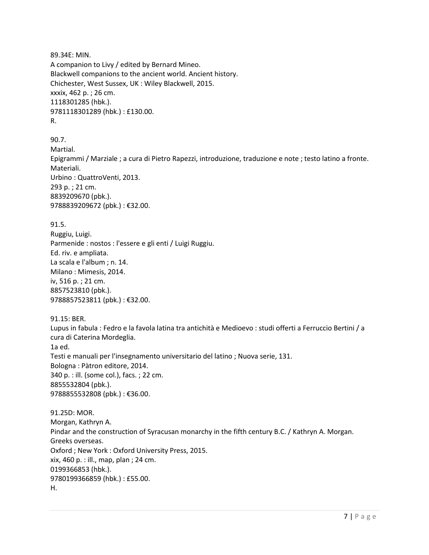89.34E: MIN. A companion to Livy / edited by Bernard Mineo. Blackwell companions to the ancient world. Ancient history. Chichester, West Sussex, UK : Wiley Blackwell, 2015. xxxix, 462 p. ; 26 cm. 1118301285 (hbk.). 9781118301289 (hbk.) : £130.00. R.

90.7. Martial. Epigrammi / Marziale ; a cura di Pietro Rapezzi, introduzione, traduzione e note ; testo latino a fronte. Materiali. Urbino : QuattroVenti, 2013. 293 p. ; 21 cm. 8839209670 (pbk.). 9788839209672 (pbk.) : €32.00.

91.5.

Ruggiu, Luigi. Parmenide : nostos : l'essere e gli enti / Luigi Ruggiu. Ed. riv. e ampliata. La scala e l'album ; n. 14. Milano : Mimesis, 2014. iv, 516 p. ; 21 cm. 8857523810 (pbk.). 9788857523811 (pbk.) : €32.00.

91.15: BER. Lupus in fabula : Fedro e la favola latina tra antichità e Medioevo : studi offerti a Ferruccio Bertini / a cura di Caterina Mordeglia. 1a ed. Testi e manuali per l'insegnamento universitario del latino ; Nuova serie, 131. Bologna : Pàtron editore, 2014. 340 p. : ill. (some col.), facs. ; 22 cm. 8855532804 (pbk.). 9788855532808 (pbk.) : €36.00.

91.25D: MOR. Morgan, Kathryn A. Pindar and the construction of Syracusan monarchy in the fifth century B.C. / Kathryn A. Morgan. Greeks overseas. Oxford ; New York : Oxford University Press, 2015. xix, 460 p. : ill., map, plan ; 24 cm. 0199366853 (hbk.). 9780199366859 (hbk.) : £55.00. H.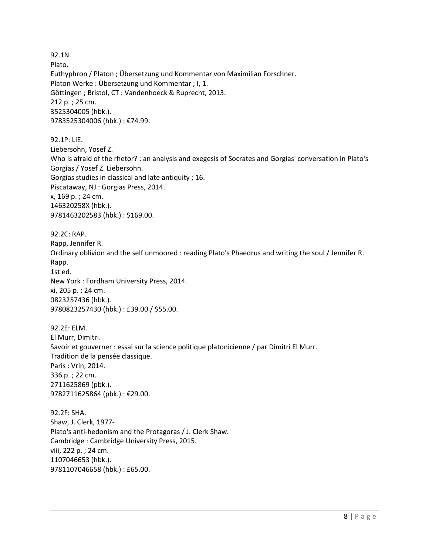92.1N. Plato. Euthyphron / Platon ; Übersetzung und Kommentar von Maximilian Forschner. Platon Werke : Übersetzung und Kommentar ; I, 1. Göttingen ; Bristol, CT : Vandenhoeck & Ruprecht, 2013. 212 p. ; 25 cm. 3525304005 (hbk.). 9783525304006 (hbk.) : €74.99.

92.1P: LIE. Liebersohn, Yosef Z. Who is afraid of the rhetor? : an analysis and exegesis of Socrates and Gorgias' conversation in Plato's Gorgias / Yosef Z. Liebersohn. Gorgias studies in classical and late antiquity ; 16. Piscataway, NJ : Gorgias Press, 2014. x, 169 p. ; 24 cm. 146320258X (hbk.). 9781463202583 (hbk.) : \$169.00.

92.2C: RAP. Rapp, Jennifer R. Ordinary oblivion and the self unmoored : reading Plato's Phaedrus and writing the soul / Jennifer R. Rapp. 1st ed. New York : Fordham University Press, 2014. xi, 205 p. ; 24 cm. 0823257436 (hbk.). 9780823257430 (hbk.) : £39.00 / \$55.00.

92.2E: ELM. El Murr, Dimitri. Savoir et gouverner : essai sur la science politique platonicienne / par Dimitri El Murr. Tradition de la pensée classique. Paris : Vrin, 2014. 336 p. ; 22 cm. 2711625869 (pbk.). 9782711625864 (pbk.) : €29.00.

92.2F: SHA. Shaw, J. Clerk, 1977- Plato's anti-hedonism and the Protagoras / J. Clerk Shaw. Cambridge : Cambridge University Press, 2015. viii, 222 p. ; 24 cm. 1107046653 (hbk.). 9781107046658 (hbk.) : £65.00.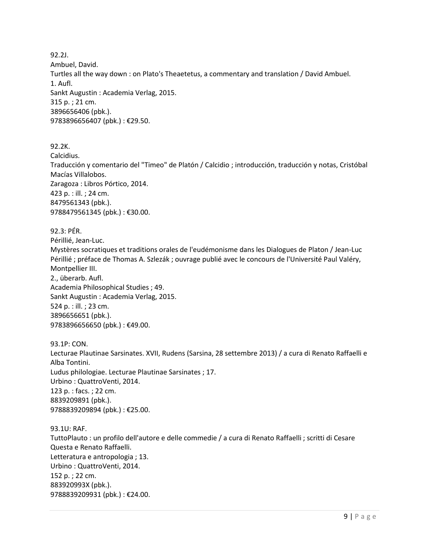92.2J. Ambuel, David. Turtles all the way down : on Plato's Theaetetus, a commentary and translation / David Ambuel. 1. Aufl. Sankt Augustin : Academia Verlag, 2015. 315 p. ; 21 cm. 3896656406 (pbk.). 9783896656407 (pbk.) : €29.50.

92.2K. Calcidius. Traducción y comentario del "Timeo" de Platón / Calcidio ; introducción, traducción y notas, Cristóbal Macías Villalobos. Zaragoza : Libros Pórtico, 2014. 423 p. : ill. ; 24 cm. 8479561343 (pbk.). 9788479561345 (pbk.) : €30.00.

92.3: PÉR. Périllié, Jean-Luc. Mystères socratiques et traditions orales de l'eudémonisme dans les Dialogues de Platon / Jean-Luc Périllié ; préface de Thomas A. Szlezák ; ouvrage publié avec le concours de l'Université Paul Valéry, Montpellier III. 2., überarb. Aufl. Academia Philosophical Studies ; 49. Sankt Augustin : Academia Verlag, 2015. 524 p. : ill. ; 23 cm. 3896656651 (pbk.). 9783896656650 (pbk.) : €49.00.

93.1P: CON. Lecturae Plautinae Sarsinates. XVII, Rudens (Sarsina, 28 settembre 2013) / a cura di Renato Raffaelli e Alba Tontini. Ludus philologiae. Lecturae Plautinae Sarsinates ; 17. Urbino : QuattroVenti, 2014. 123 p. : facs. ; 22 cm. 8839209891 (pbk.). 9788839209894 (pbk.) : €25.00.

93.1U: RAF. TuttoPlauto : un profilo dell'autore e delle commedie / a cura di Renato Raffaelli ; scritti di Cesare Questa e Renato Raffaelli. Letteratura e antropologia ; 13. Urbino : QuattroVenti, 2014. 152 p. ; 22 cm. 883920993X (pbk.). 9788839209931 (pbk.) : €24.00.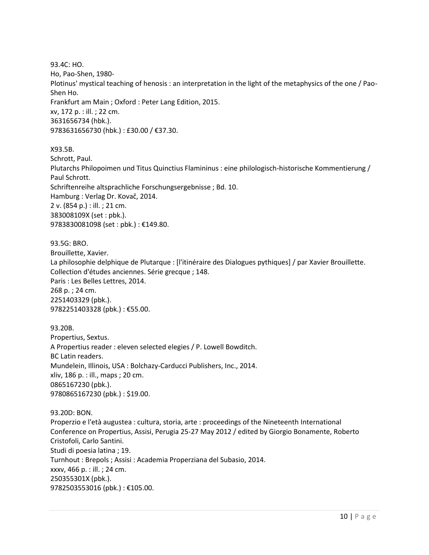93.4C: HO. Ho, Pao-Shen, 1980- Plotinus' mystical teaching of henosis : an interpretation in the light of the metaphysics of the one / Pao-Shen Ho. Frankfurt am Main ; Oxford : Peter Lang Edition, 2015. xv, 172 p. : ill. ; 22 cm. 3631656734 (hbk.). 9783631656730 (hbk.) : £30.00 / €37.30.

X93.5B.

Schrott, Paul. Plutarchs Philopoimen und Titus Quinctius Flamininus : eine philologisch-historische Kommentierung / Paul Schrott. Schriftenreihe altsprachliche Forschungsergebnisse ; Bd. 10. Hamburg : Verlag Dr. Kovač, 2014. 2 v. (854 p.) : ill. ; 21 cm. 383008109X (set : pbk.). 9783830081098 (set : pbk.) : €149.80.

93.5G: BRO. Brouillette, Xavier. La philosophie delphique de Plutarque : [l'itinéraire des Dialogues pythiques] / par Xavier Brouillette. Collection d'études anciennes. Série grecque ; 148. Paris : Les Belles Lettres, 2014. 268 p. ; 24 cm. 2251403329 (pbk.). 9782251403328 (pbk.) : €55.00.

93.20B. Propertius, Sextus. A Propertius reader : eleven selected elegies / P. Lowell Bowditch. BC Latin readers. Mundelein, Illinois, USA : Bolchazy-Carducci Publishers, Inc., 2014. xliv, 186 p. : ill., maps ; 20 cm. 0865167230 (pbk.). 9780865167230 (pbk.) : \$19.00.

93.20D: BON. Properzio e l'età augustea : cultura, storia, arte : proceedings of the Nineteenth International Conference on Propertius, Assisi, Perugia 25-27 May 2012 / edited by Giorgio Bonamente, Roberto Cristofoli, Carlo Santini. Studi di poesia latina ; 19. Turnhout : Brepols ; Assisi : Academia Properziana del Subasio, 2014. xxxv, 466 p. : ill. ; 24 cm. 250355301X (pbk.). 9782503553016 (pbk.) : €105.00.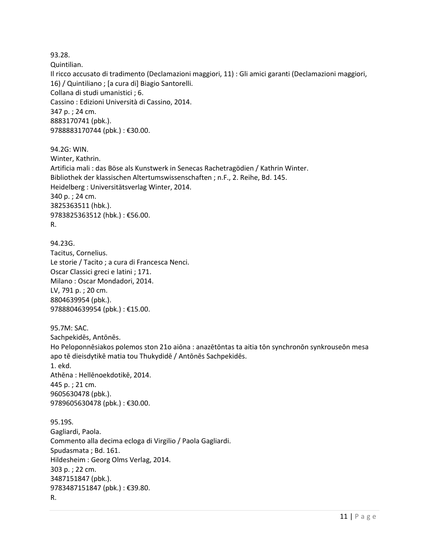93.28.

Quintilian.

Il ricco accusato di tradimento (Declamazioni maggiori, 11) : Gli amici garanti (Declamazioni maggiori, 16) / Quintiliano ; [a cura di] Biagio Santorelli. Collana di studi umanistici ; 6. Cassino : Edizioni Università di Cassino, 2014. 347 p. ; 24 cm. 8883170741 (pbk.). 9788883170744 (pbk.) : €30.00.

94.2G: WIN. Winter, Kathrin. Artificia mali : das Böse als Kunstwerk in Senecas Rachetragödien / Kathrin Winter. Bibliothek der klassischen Altertumswissenschaften ; n.F., 2. Reihe, Bd. 145. Heidelberg : Universitätsverlag Winter, 2014. 340 p. ; 24 cm. 3825363511 (hbk.). 9783825363512 (hbk.) : €56.00. R.

94.23G. Tacitus, Cornelius. Le storie / Tacito ; a cura di Francesca Nenci. Oscar Classici greci e latini ; 171. Milano : Oscar Mondadori, 2014. LV, 791 p. ; 20 cm. 8804639954 (pbk.). 9788804639954 (pbk.) : €15.00.

95.7M: SAC. Sachpekidēs, Antōnēs. Ho Peloponnēsiakos polemos ston 21o aiōna : anazētōntas ta aitia tōn synchronōn synkrouseōn mesa apo tē dieisdytikē matia tou Thukydidē / Antōnēs Sachpekidēs. 1. ekd. Athēna : Hellēnoekdotikē, 2014. 445 p. ; 21 cm. 9605630478 (pbk.). 9789605630478 (pbk.) : €30.00.

95.19S. Gagliardi, Paola. Commento alla decima ecloga di Virgilio / Paola Gagliardi. Spudasmata ; Bd. 161. Hildesheim : Georg Olms Verlag, 2014. 303 p. ; 22 cm. 3487151847 (pbk.). 9783487151847 (pbk.) : €39.80. R.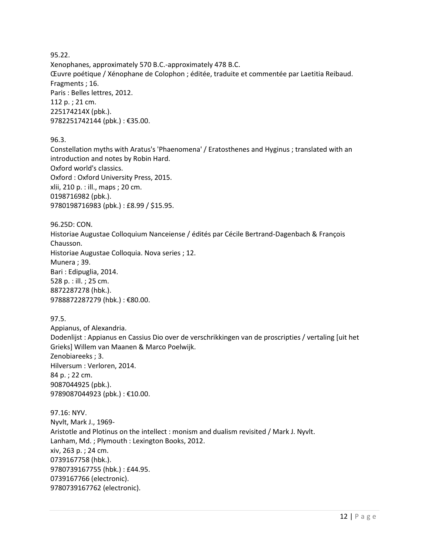95.22. Xenophanes, approximately 570 B.C.-approximately 478 B.C. Œuvre poétique / Xénophane de Colophon ; éditée, traduite et commentée par Laetitia Reibaud. Fragments ; 16. Paris : Belles lettres, 2012. 112 p. ; 21 cm. 225174214X (pbk.). 9782251742144 (pbk.) : €35.00.

96.3.

Constellation myths with Aratus's 'Phaenomena' / Eratosthenes and Hyginus ; translated with an introduction and notes by Robin Hard. Oxford world's classics. Oxford : Oxford University Press, 2015. xlii, 210 p. : ill., maps ; 20 cm. 0198716982 (pbk.). 9780198716983 (pbk.) : £8.99 / \$15.95.

96.25D: CON. Historiae Augustae Colloquium Nanceiense / édités par Cécile Bertrand-Dagenbach & François Chausson. Historiae Augustae Colloquia. Nova series ; 12. Munera ; 39. Bari : Edipuglia, 2014. 528 p. : ill. ; 25 cm. 8872287278 (hbk.). 9788872287279 (hbk.) : €80.00.

97.5.

Appianus, of Alexandria. Dodenlijst : Appianus en Cassius Dio over de verschrikkingen van de proscripties / vertaling [uit het Grieks] Willem van Maanen & Marco Poelwijk. Zenobiareeks ; 3. Hilversum : Verloren, 2014. 84 p. ; 22 cm. 9087044925 (pbk.). 9789087044923 (pbk.) : €10.00.

97.16: NYV. Nyvlt, Mark J., 1969- Aristotle and Plotinus on the intellect : monism and dualism revisited / Mark J. Nyvlt. Lanham, Md. ; Plymouth : Lexington Books, 2012. xiv, 263 p. ; 24 cm. 0739167758 (hbk.). 9780739167755 (hbk.) : £44.95. 0739167766 (electronic). 9780739167762 (electronic).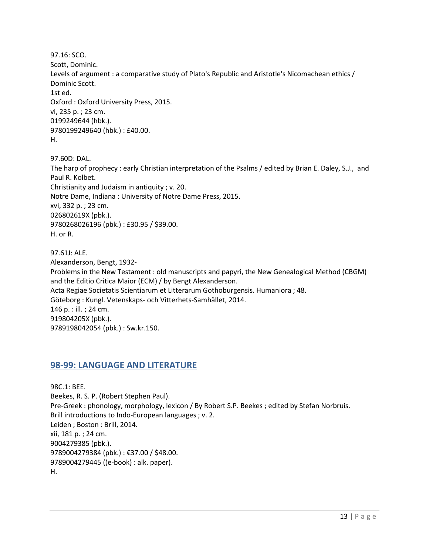97.16: SCO. Scott, Dominic. Levels of argument : a comparative study of Plato's Republic and Aristotle's Nicomachean ethics / Dominic Scott. 1st ed. Oxford : Oxford University Press, 2015. vi, 235 p. ; 23 cm. 0199249644 (hbk.). 9780199249640 (hbk.) : £40.00. H.

97.60D: DAL. The harp of prophecy : early Christian interpretation of the Psalms / edited by Brian E. Daley, S.J., and Paul R. Kolbet. Christianity and Judaism in antiquity ; v. 20. Notre Dame, Indiana : University of Notre Dame Press, 2015. xvi, 332 p. ; 23 cm. 026802619X (pbk.). 9780268026196 (pbk.) : £30.95 / \$39.00. H. or R.

97.61J: ALE. Alexanderson, Bengt, 1932- Problems in the New Testament : old manuscripts and papyri, the New Genealogical Method (CBGM) and the Editio Critica Maior (ECM) / by Bengt Alexanderson. Acta Regiae Societatis Scientiarum et Litterarum Gothoburgensis. Humaniora ; 48. Göteborg : Kungl. Vetenskaps- och Vitterhets-Samhället, 2014. 146 p. : ill. ; 24 cm. 919804205X (pbk.). 9789198042054 (pbk.) : Sw.kr.150.

## <span id="page-12-0"></span>**98-99: LANGUAGE AND LITERATURE**

98C.1: BEE. Beekes, R. S. P. (Robert Stephen Paul). Pre-Greek : phonology, morphology, lexicon / By Robert S.P. Beekes ; edited by Stefan Norbruis. Brill introductions to Indo-European languages ; v. 2. Leiden ; Boston : Brill, 2014. xii, 181 p. ; 24 cm. 9004279385 (pbk.). 9789004279384 (pbk.) : €37.00 / \$48.00. 9789004279445 ((e-book) : alk. paper). H.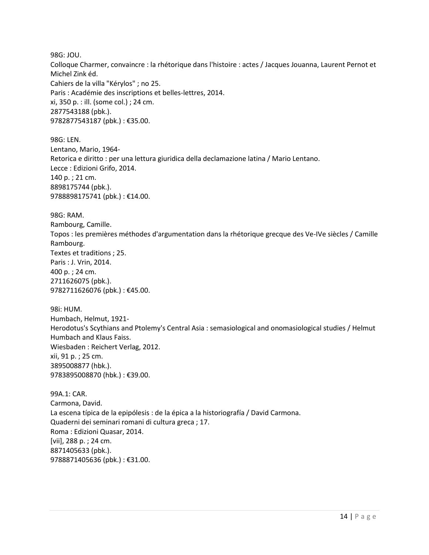98G: JOU. Colloque Charmer, convaincre : la rhétorique dans l'histoire : actes / Jacques Jouanna, Laurent Pernot et Michel Zink éd. Cahiers de la villa "Kérylos" ; no 25. Paris : Académie des inscriptions et belles-lettres, 2014. xi, 350 p. : ill. (some col.) ; 24 cm. 2877543188 (pbk.). 9782877543187 (pbk.) : €35.00.

98G: LEN. Lentano, Mario, 1964- Retorica e diritto : per una lettura giuridica della declamazione latina / Mario Lentano. Lecce : Edizioni Grifo, 2014. 140 p. ; 21 cm. 8898175744 (pbk.). 9788898175741 (pbk.) : €14.00.

98G: RAM. Rambourg, Camille. Topos : les premières méthodes d'argumentation dans la rhétorique grecque des Ve-IVe siècles / Camille Rambourg. Textes et traditions ; 25. Paris : J. Vrin, 2014. 400 p. ; 24 cm. 2711626075 (pbk.). 9782711626076 (pbk.) : €45.00.

98i: HUM. Humbach, Helmut, 1921- Herodotus's Scythians and Ptolemy's Central Asia : semasiological and onomasiological studies / Helmut Humbach and Klaus Faiss. Wiesbaden : Reichert Verlag, 2012. xii, 91 p. ; 25 cm. 3895008877 (hbk.). 9783895008870 (hbk.) : €39.00.

99A.1: CAR. Carmona, David. La escena típica de la epipólesis : de la épica a la historiografía / David Carmona. Quaderni dei seminari romani di cultura greca ; 17. Roma : Edizioni Quasar, 2014. [vii], 288 p. ; 24 cm. 8871405633 (pbk.). 9788871405636 (pbk.) : €31.00.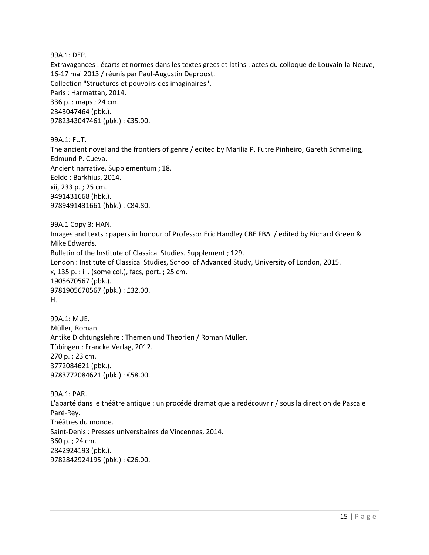99A.1: DEP.

Extravagances : écarts et normes dans les textes grecs et latins : actes du colloque de Louvain-la-Neuve, 16-17 mai 2013 / réunis par Paul-Augustin Deproost. Collection "Structures et pouvoirs des imaginaires". Paris : Harmattan, 2014. 336 p. : maps ; 24 cm. 2343047464 (pbk.). 9782343047461 (pbk.) : €35.00.

99A.1: FUT. The ancient novel and the frontiers of genre / edited by Marilia P. Futre Pinheiro, Gareth Schmeling, Edmund P. Cueva. Ancient narrative. Supplementum ; 18. Eelde : Barkhius, 2014. xii, 233 p. ; 25 cm. 9491431668 (hbk.). 9789491431661 (hbk.) : €84.80.

99A.1 Copy 3: HAN. Images and texts : papers in honour of Professor Eric Handley CBE FBA / edited by Richard Green & Mike Edwards. Bulletin of the Institute of Classical Studies. Supplement ; 129. London : Institute of Classical Studies, School of Advanced Study, University of London, 2015. x, 135 p. : ill. (some col.), facs, port. ; 25 cm. 1905670567 (pbk.). 9781905670567 (pbk.) : £32.00. H.

99A.1: MUE. Müller, Roman. Antike Dichtungslehre : Themen und Theorien / Roman Müller. Tübingen : Francke Verlag, 2012. 270 p. ; 23 cm. 3772084621 (pbk.). 9783772084621 (pbk.) : €58.00.

99A.1: PAR. L'aparté dans le théâtre antique : un procédé dramatique à redécouvrir / sous la direction de Pascale Paré-Rey. Théâtres du monde. Saint-Denis : Presses universitaires de Vincennes, 2014. 360 p. ; 24 cm. 2842924193 (pbk.). 9782842924195 (pbk.) : €26.00.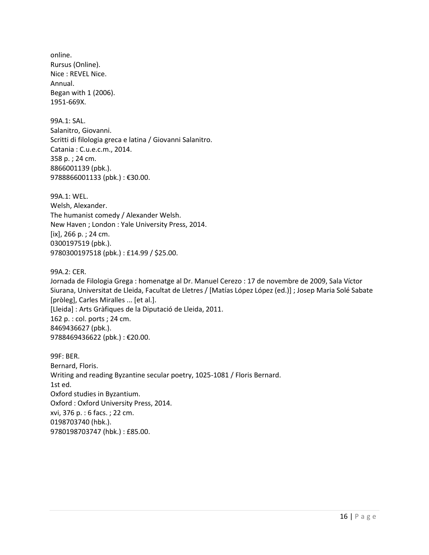online. Rursus (Online). Nice : REVEL Nice. Annual. Began with 1 (2006). 1951-669X.

99A.1: SAL. Salanitro, Giovanni. Scritti di filologia greca e latina / Giovanni Salanitro. Catania : C.u.e.c.m., 2014. 358 p. ; 24 cm. 8866001139 (pbk.). 9788866001133 (pbk.) : €30.00.

99A.1: WEL. Welsh, Alexander. The humanist comedy / Alexander Welsh. New Haven ; London : Yale University Press, 2014. [ix], 266 p. ; 24 cm. 0300197519 (pbk.). 9780300197518 (pbk.) : £14.99 / \$25.00.

99A.2: CER.

Jornada de Filologia Grega : homenatge al Dr. Manuel Cerezo : 17 de novembre de 2009, Sala Víctor Siurana, Universitat de Lleida, Facultat de Lletres / [Matías López López (ed.)] ; Josep Maria Solé Sabate [pròleg], Carles Miralles ... [et al.]. [Lleida] : Arts Gràfiques de la Diputació de Lleida, 2011. 162 p. : col. ports ; 24 cm. 8469436627 (pbk.). 9788469436622 (pbk.) : €20.00.

99F: BER. Bernard, Floris. Writing and reading Byzantine secular poetry, 1025-1081 / Floris Bernard. 1st ed. Oxford studies in Byzantium. Oxford : Oxford University Press, 2014. xvi, 376 p. : 6 facs. ; 22 cm. 0198703740 (hbk.). 9780198703747 (hbk.) : £85.00.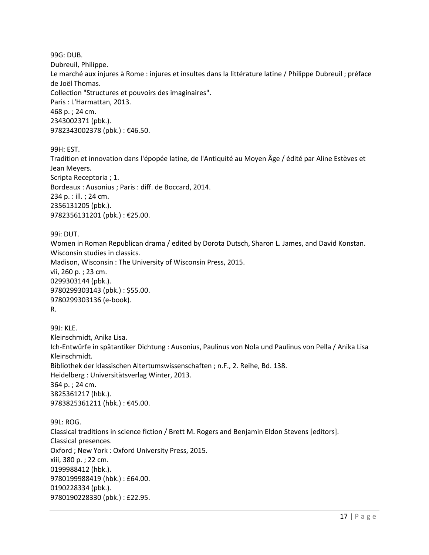99G: DUB. Dubreuil, Philippe. Le marché aux injures à Rome : injures et insultes dans la littérature latine / Philippe Dubreuil ; préface de Joël Thomas. Collection "Structures et pouvoirs des imaginaires". Paris : L'Harmattan, 2013. 468 p. ; 24 cm. 2343002371 (pbk.). 9782343002378 (pbk.): €46.50.

99H: EST.

Tradition et innovation dans l'épopée latine, de l'Antiquité au Moyen Âge / édité par Aline Estèves et Jean Meyers. Scripta Receptoria ; 1. Bordeaux : Ausonius ; Paris : diff. de Boccard, 2014. 234 p. : ill. ; 24 cm. 2356131205 (pbk.). 9782356131201 (pbk.) : €25.00.

99i: DUT. Women in Roman Republican drama / edited by Dorota Dutsch, Sharon L. James, and David Konstan. Wisconsin studies in classics. Madison, Wisconsin : The University of Wisconsin Press, 2015. vii, 260 p. ; 23 cm. 0299303144 (pbk.). 9780299303143 (pbk.) : \$55.00. 9780299303136 (e-book). R.

99J: KLE. Kleinschmidt, Anika Lisa. Ich-Entwürfe in spätantiker Dichtung : Ausonius, Paulinus von Nola und Paulinus von Pella / Anika Lisa Kleinschmidt. Bibliothek der klassischen Altertumswissenschaften ; n.F., 2. Reihe, Bd. 138. Heidelberg : Universitätsverlag Winter, 2013. 364 p. ; 24 cm. 3825361217 (hbk.). 9783825361211 (hbk.) : €45.00.

99L: ROG. Classical traditions in science fiction / Brett M. Rogers and Benjamin Eldon Stevens [editors]. Classical presences. Oxford ; New York : Oxford University Press, 2015. xiii, 380 p. ; 22 cm. 0199988412 (hbk.). 9780199988419 (hbk.) : £64.00. 0190228334 (pbk.). 9780190228330 (pbk.) : £22.95.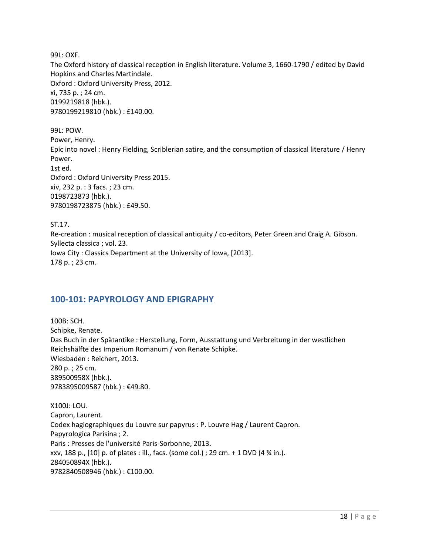99L: OXF.

The Oxford history of classical reception in English literature. Volume 3, 1660-1790 / edited by David Hopkins and Charles Martindale. Oxford : Oxford University Press, 2012. xi, 735 p. ; 24 cm. 0199219818 (hbk.). 9780199219810 (hbk.) : £140.00.

99L: POW. Power, Henry. Epic into novel : Henry Fielding, Scriblerian satire, and the consumption of classical literature / Henry Power. 1st ed. Oxford : Oxford University Press 2015. xiv, 232 p. : 3 facs. ; 23 cm. 0198723873 (hbk.). 9780198723875 (hbk.) : £49.50.

ST.17. Re-creation : musical reception of classical antiquity / co-editors, Peter Green and Craig A. Gibson. Syllecta classica ; vol. 23. Iowa City : Classics Department at the University of Iowa, [2013]. 178 p. ; 23 cm.

## <span id="page-17-0"></span>**100-101: PAPYROLOGY AND EPIGRAPHY**

100B: SCH. Schipke, Renate. Das Buch in der Spätantike : Herstellung, Form, Ausstattung und Verbreitung in der westlichen Reichshälfte des Imperium Romanum / von Renate Schipke. Wiesbaden : Reichert, 2013. 280 p. ; 25 cm. 389500958X (hbk.). 9783895009587 (hbk.) : €49.80.

X100J: LOU. Capron, Laurent. Codex hagiographiques du Louvre sur papyrus : P. Louvre Hag / Laurent Capron. Papyrologica Parisina ; 2. Paris : Presses de l'université Paris-Sorbonne, 2013. xxv, 188 p., [10] p. of plates : ill., facs. (some col.) ; 29 cm. + 1 DVD (4 ¾ in.). 284050894X (hbk.). 9782840508946 (hbk.) : €100.00.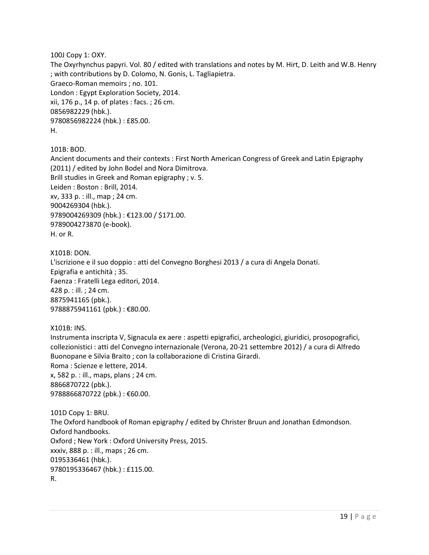100J Copy 1: OXY. The Oxyrhynchus papyri. Vol. 80 / edited with translations and notes by M. Hirt, D. Leith and W.B. Henry ; with contributions by D. Colomo, N. Gonis, L. Tagliapietra. Graeco-Roman memoirs ; no. 101. London : Egypt Exploration Society, 2014. xii, 176 p., 14 p. of plates : facs. ; 26 cm. 0856982229 (hbk.). 9780856982224 (hbk.) : £85.00. H.

101B: BOD.

Ancient documents and their contexts : First North American Congress of Greek and Latin Epigraphy (2011) / edited by John Bodel and Nora Dimitrova. Brill studies in Greek and Roman epigraphy ; v. 5. Leiden : Boston : Brill, 2014. xv, 333 p. : ill., map ; 24 cm. 9004269304 (hbk.). 9789004269309 (hbk.) : €123.00 / \$171.00. 9789004273870 (e-book). H. or R.

X101B: DON.

L'iscrizione e il suo doppio : atti del Convegno Borghesi 2013 / a cura di Angela Donati. Epigrafia e antichità ; 35. Faenza : Fratelli Lega editori, 2014. 428 p. : ill. ; 24 cm. 8875941165 (pbk.). 9788875941161 (pbk.) : €80.00.

X101B: INS.

Instrumenta inscripta V, Signacula ex aere : aspetti epigrafici, archeologici, giuridici, prosopografici, collezionistici : atti del Convegno internazionale (Verona, 20-21 settembre 2012) / a cura di Alfredo Buonopane e Silvia Braito ; con la collaborazione di Cristina Girardi. Roma : Scienze e lettere, 2014. x, 582 p. : ill., maps, plans ; 24 cm. 8866870722 (pbk.). 9788866870722 (pbk.): €60.00.

101D Copy 1: BRU. The Oxford handbook of Roman epigraphy / edited by Christer Bruun and Jonathan Edmondson. Oxford handbooks. Oxford ; New York : Oxford University Press, 2015. xxxiv, 888 p. : ill., maps ; 26 cm. 0195336461 (hbk.). 9780195336467 (hbk.) : £115.00. R.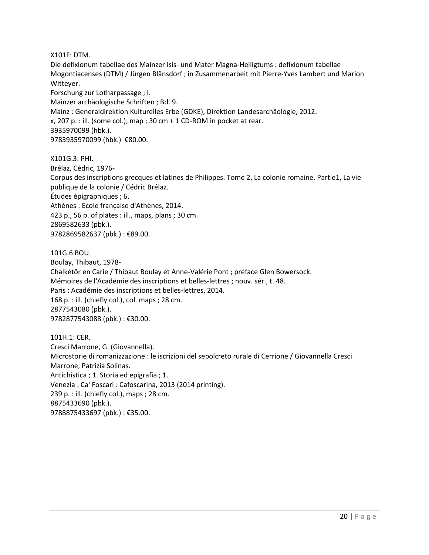X101F: DTM.

Die defixionum tabellae des Mainzer Isis- und Mater Magna-Heiligtums : defixionum tabellae Mogontiacenses (DTM) / Jürgen Blänsdorf ; in Zusammenarbeit mit Pierre-Yves Lambert und Marion Witteyer.

Forschung zur Lotharpassage ; I.

Mainzer archäologische Schriften ; Bd. 9.

Mainz : Generaldirektion Kulturelles Erbe (GDKE), Direktion Landesarchäologie, 2012.

 $x$ , 207 p. : ill. (some col.), map ; 30 cm + 1 CD-ROM in pocket at rear.

3935970099 (hbk.).

9783935970099 (hbk.) €80.00.

X101G.3: PHI. Brélaz, Cédric, 1976- Corpus des inscriptions grecques et latines de Philippes. Tome 2, La colonie romaine. Partie1, La vie publique de la colonie / Cédric Brélaz. Études épigraphiques ; 6. Athènes : Ecole française d'Athènes, 2014. 423 p., 56 p. of plates : ill., maps, plans ; 30 cm. 2869582633 (pbk.). 9782869582637 (pbk.) : €89.00.

101G.6 BOU. Boulay, Thibaut, 1978- Chalkétôr en Carie / Thibaut Boulay et Anne-Valérie Pont ; préface Glen Bowersock. Mémoires de l'Académie des inscriptions et belles-lettres ; nouv. sér., t. 48. Paris : Académie des inscriptions et belles-lettres, 2014. 168 p. : ill. (chiefly col.), col. maps ; 28 cm. 2877543080 (pbk.). 9782877543088 (pbk.) : €30.00.

101H.1: CER. Cresci Marrone, G. (Giovannella). Microstorie di romanizzazione : le iscrizioni del sepolcreto rurale di Cerrione / Giovannella Cresci Marrone, Patrizia Solinas. Antichistica ; 1. Storia ed epigrafia ; 1. Venezia : Ca' Foscari : Cafoscarina, 2013 (2014 printing). 239 p. : ill. (chiefly col.), maps ; 28 cm. 8875433690 (pbk.). 9788875433697 (pbk.) : €35.00.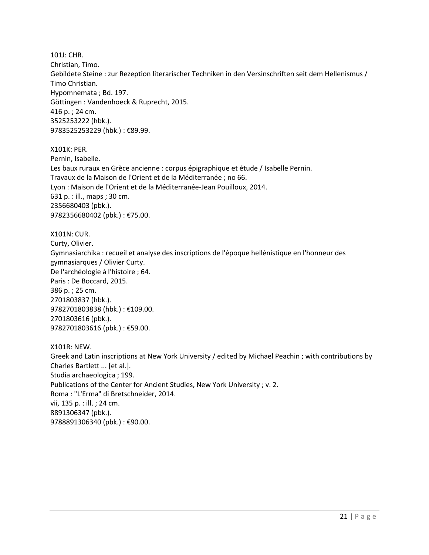101J: CHR. Christian, Timo. Gebildete Steine : zur Rezeption literarischer Techniken in den Versinschriften seit dem Hellenismus / Timo Christian. Hypomnemata ; Bd. 197. Göttingen : Vandenhoeck & Ruprecht, 2015. 416 p. ; 24 cm. 3525253222 (hbk.). 9783525253229 (hbk.) : €89.99.

X101K: PER. Pernin, Isabelle. Les baux ruraux en Grèce ancienne : corpus épigraphique et étude / Isabelle Pernin. Travaux de la Maison de l'Orient et de la Méditerranée ; no 66. Lyon : Maison de l'Orient et de la Méditerranée-Jean Pouilloux, 2014. 631 p. : ill., maps ; 30 cm. 2356680403 (pbk.). 9782356680402 (pbk.) : €75.00.

X101N: CUR. Curty, Olivier. Gymnasiarchika : recueil et analyse des inscriptions de l'époque hellénistique en l'honneur des gymnasiarques / Olivier Curty. De l'archéologie à l'histoire ; 64. Paris : De Boccard, 2015. 386 p. ; 25 cm. 2701803837 (hbk.). 9782701803838 (hbk.) : €109.00. 2701803616 (pbk.). 9782701803616 (pbk.) : €59.00.

X101R: NEW. Greek and Latin inscriptions at New York University / edited by Michael Peachin ; with contributions by Charles Bartlett ... [et al.]. Studia archaeologica ; 199. Publications of the Center for Ancient Studies, New York University ; v. 2. Roma : "L'Erma" di Bretschneider, 2014. vii, 135 p. : ill. ; 24 cm. 8891306347 (pbk.). 9788891306340 (pbk.) : €90.00.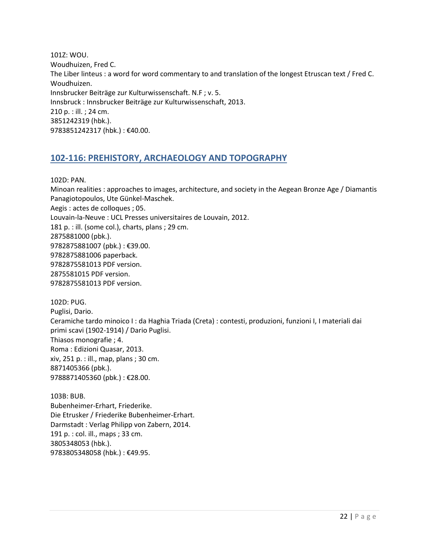101Z: WOU. Woudhuizen, Fred C. The Liber linteus : a word for word commentary to and translation of the longest Etruscan text / Fred C. Woudhuizen. Innsbrucker Beiträge zur Kulturwissenschaft. N.F ; v. 5. Innsbruck : Innsbrucker Beiträge zur Kulturwissenschaft, 2013. 210 p. : ill. ; 24 cm. 3851242319 (hbk.). 9783851242317 (hbk.) : €40.00.

## <span id="page-21-0"></span>**102-116: PREHISTORY, ARCHAEOLOGY AND TOPOGRAPHY**

102D: PAN.

Minoan realities : approaches to images, architecture, and society in the Aegean Bronze Age / Diamantis Panagiotopoulos, Ute Günkel-Maschek. Aegis : actes de colloques ; 05. Louvain-la-Neuve : UCL Presses universitaires de Louvain, 2012. 181 p. : ill. (some col.), charts, plans ; 29 cm. 2875881000 (pbk.). 9782875881007 (pbk.) : €39.00. 9782875881006 paperback. 9782875581013 PDF version. 2875581015 PDF version. 9782875581013 PDF version.

102D: PUG. Puglisi, Dario. Ceramiche tardo minoico I : da Haghia Triada (Creta) : contesti, produzioni, funzioni I, I materiali dai primi scavi (1902-1914) / Dario Puglisi. Thiasos monografie ; 4. Roma : Edizioni Quasar, 2013. xiv, 251 p. : ill., map, plans ; 30 cm. 8871405366 (pbk.). 9788871405360 (pbk.) : €28.00.

103B: BUB. Bubenheimer-Erhart, Friederike. Die Etrusker / Friederike Bubenheimer-Erhart. Darmstadt : Verlag Philipp von Zabern, 2014. 191 p. : col. ill., maps ; 33 cm. 3805348053 (hbk.). 9783805348058 (hbk.) : €49.95.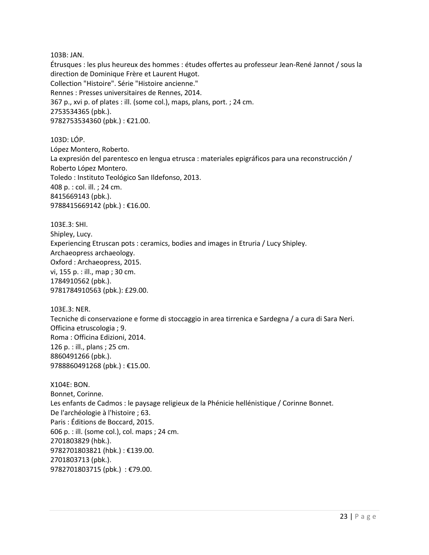103B: JAN.

Étrusques : les plus heureux des hommes : études offertes au professeur Jean-René Jannot / sous la direction de Dominique Frère et Laurent Hugot. Collection "Histoire". Série "Histoire ancienne." Rennes : Presses universitaires de Rennes, 2014. 367 p., xvi p. of plates : ill. (some col.), maps, plans, port. ; 24 cm. 2753534365 (pbk.). 9782753534360 (pbk.) : €21.00.

103D: LÓP. López Montero, Roberto. La expresión del parentesco en lengua etrusca : materiales epigráficos para una reconstrucción / Roberto López Montero. Toledo : Instituto Teológico San Ildefonso, 2013. 408 p. : col. ill. ; 24 cm. 8415669143 (pbk.). 9788415669142 (pbk.) : €16.00.

103E.3: SHI. Shipley, Lucy. Experiencing Etruscan pots : ceramics, bodies and images in Etruria / Lucy Shipley. Archaeopress archaeology. Oxford : Archaeopress, 2015. vi, 155 p. : ill., map ; 30 cm. 1784910562 (pbk.). 9781784910563 (pbk.): £29.00.

103E.3: NER. Tecniche di conservazione e forme di stoccaggio in area tirrenica e Sardegna / a cura di Sara Neri. Officina etruscologia ; 9. Roma : Officina Edizioni, 2014. 126 p. : ill., plans ; 25 cm. 8860491266 (pbk.). 9788860491268 (pbk.) : €15.00.

X104E: BON. Bonnet, Corinne. Les enfants de Cadmos : le paysage religieux de la Phénicie hellénistique / Corinne Bonnet. De l'archéologie à l'histoire ; 63. Paris : Éditions de Boccard, 2015. 606 p. : ill. (some col.), col. maps ; 24 cm. 2701803829 (hbk.). 9782701803821 (hbk.) : €139.00. 2701803713 (pbk.). 9782701803715 (pbk.) : €79.00.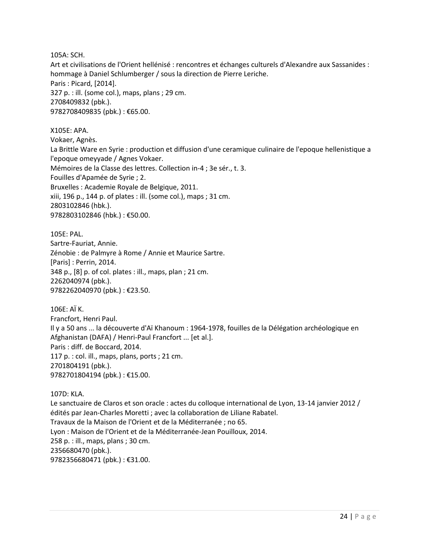105A: SCH.

Art et civilisations de l'Orient hellénisé : rencontres et échanges culturels d'Alexandre aux Sassanides : hommage à Daniel Schlumberger / sous la direction de Pierre Leriche. Paris : Picard, [2014]. 327 p. : ill. (some col.), maps, plans ; 29 cm. 2708409832 (pbk.). 9782708409835 (pbk.) : €65.00.

X105E: APA. Vokaer, Agnès. La Brittle Ware en Syrie : production et diffusion d'une ceramique culinaire de l'epoque hellenistique a l'epoque omeyyade / Agnes Vokaer. Mémoires de la Classe des lettres. Collection in-4 ; 3e sér., t. 3. Fouilles d'Apamée de Syrie ; 2. Bruxelles : Academie Royale de Belgique, 2011. xiii, 196 p., 144 p. of plates : ill. (some col.), maps ; 31 cm. 2803102846 (hbk.). 9782803102846 (hbk.) : €50.00.

105E: PAL. Sartre-Fauriat, Annie. Zénobie : de Palmyre à Rome / Annie et Maurice Sartre. [Paris] : Perrin, 2014. 348 p., [8] p. of col. plates : ill., maps, plan ; 21 cm. 2262040974 (pbk.). 9782262040970 (pbk.) : €23.50.

106E: AÏ K. Francfort, Henri Paul. Il y a 50 ans ... la découverte d'Aï Khanoum : 1964-1978, fouilles de la Délégation archéologique en Afghanistan (DAFA) / Henri-Paul Francfort ... [et al.]. Paris : diff. de Boccard, 2014. 117 p. : col. ill., maps, plans, ports ; 21 cm. 2701804191 (pbk.). 9782701804194 (pbk.) : €15.00.

107D: KLA. Le sanctuaire de Claros et son oracle : actes du colloque international de Lyon, 13-14 janvier 2012 / édités par Jean-Charles Moretti ; avec la collaboration de Liliane Rabatel. Travaux de la Maison de l'Orient et de la Méditerranée ; no 65. Lyon : Maison de l'Orient et de la Méditerranée-Jean Pouilloux, 2014. 258 p. : ill., maps, plans ; 30 cm. 2356680470 (pbk.). 9782356680471 (pbk.) : €31.00.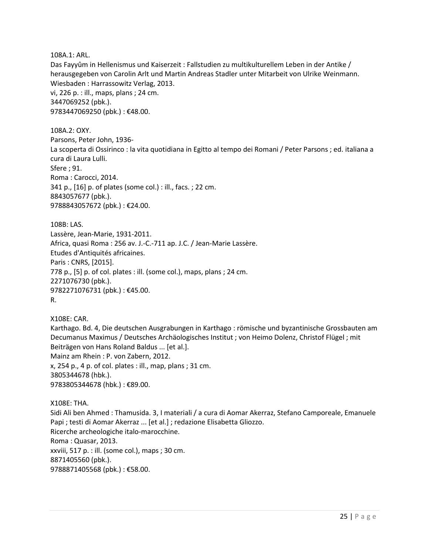108A.1: ARL.

Das Fayyûm in Hellenismus und Kaiserzeit : Fallstudien zu multikulturellem Leben in der Antike / herausgegeben von Carolin Arlt und Martin Andreas Stadler unter Mitarbeit von Ulrike Weinmann. Wiesbaden : Harrassowitz Verlag, 2013. vi, 226 p. : ill., maps, plans ; 24 cm. 3447069252 (pbk.). 9783447069250 (pbk.) : €48.00.

108A.2: OXY. Parsons, Peter John, 1936- La scoperta di Ossirinco : la vita quotidiana in Egitto al tempo dei Romani / Peter Parsons ; ed. italiana a cura di Laura Lulli. Sfere ; 91. Roma : Carocci, 2014. 341 p., [16] p. of plates (some col.) : ill., facs. ; 22 cm. 8843057677 (pbk.). 9788843057672 (pbk.) : €24.00.

108B: LAS. Lassère, Jean-Marie, 1931-2011. Africa, quasi Roma : 256 av. J.-C.-711 ap. J.C. / Jean-Marie Lassère. Etudes d'Antiquités africaines. Paris : CNRS, [2015]. 778 p., [5] p. of col. plates : ill. (some col.), maps, plans ; 24 cm. 2271076730 (pbk.). 9782271076731 (pbk.) : €45.00. R.

X108E: CAR. Karthago. Bd. 4, Die deutschen Ausgrabungen in Karthago : römische und byzantinische Grossbauten am Decumanus Maximus / Deutsches Archäologisches Institut ; von Heimo Dolenz, Christof Flügel ; mit Beiträgen von Hans Roland Baldus ... [et al.]. Mainz am Rhein : P. von Zabern, 2012. x, 254 p., 4 p. of col. plates : ill., map, plans ; 31 cm. 3805344678 (hbk.). 9783805344678 (hbk.) : €89.00.

X108E: THA. Sidi Ali ben Ahmed : Thamusida. 3, I materiali / a cura di Aomar Akerraz, Stefano Camporeale, Emanuele Papi ; testi di Aomar Akerraz ... [et al.] ; redazione Elisabetta Gliozzo. Ricerche archeologiche italo-marocchine. Roma : Quasar, 2013. xxviii, 517 p. : ill. (some col.), maps ; 30 cm. 8871405560 (pbk.). 9788871405568 (pbk.) : €58.00.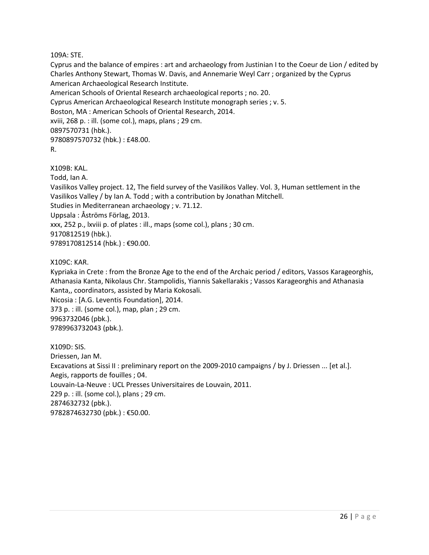109A: STE.

Cyprus and the balance of empires : art and archaeology from Justinian I to the Coeur de Lion / edited by Charles Anthony Stewart, Thomas W. Davis, and Annemarie Weyl Carr ; organized by the Cyprus American Archaeological Research Institute. American Schools of Oriental Research archaeological reports ; no. 20. Cyprus American Archaeological Research Institute monograph series ; v. 5.

Boston, MA : American Schools of Oriental Research, 2014.

xviii, 268 p. : ill. (some col.), maps, plans ; 29 cm.

0897570731 (hbk.).

9780897570732 (hbk.) : £48.00.

R.

X109B: KAL.

Todd, Ian A.

Vasilikos Valley project. 12, The field survey of the Vasilikos Valley. Vol. 3, Human settlement in the Vasilikos Valley / by Ian A. Todd ; with a contribution by Jonathan Mitchell. Studies in Mediterranean archaeology ; v. 71.12. Uppsala : Åströms Förlag, 2013. xxx, 252 p., lxviii p. of plates : ill., maps (some col.), plans ; 30 cm. 9170812519 (hbk.).

9789170812514 (hbk.) : €90.00.

#### X109C: KAR.

Kypriaka in Crete : from the Bronze Age to the end of the Archaic period / editors, Vassos Karageorghis, Athanasia Kanta, Nikolaus Chr. Stampolidis, Yiannis Sakellarakis ; Vassos Karageorghis and Athanasia Kanta,, coordinators, assisted by Maria Kokosali.

Nicosia : [A.G. Leventis Foundation], 2014. 373 p. : ill. (some col.), map, plan ; 29 cm. 9963732046 (pbk.). 9789963732043 (pbk.).

X109D: SIS. Driessen, Jan M. Excavations at Sissi II : preliminary report on the 2009-2010 campaigns / by J. Driessen ... [et al.]. Aegis, rapports de fouilles ; 04. Louvain-La-Neuve : UCL Presses Universitaires de Louvain, 2011. 229 p. : ill. (some col.), plans ; 29 cm. 2874632732 (pbk.). 9782874632730 (pbk.) : €50.00.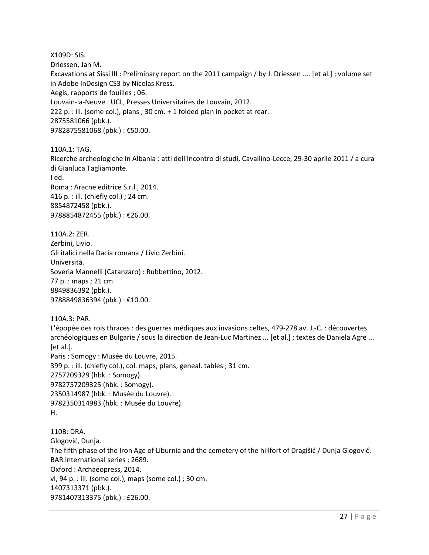X109D: SIS. Driessen, Jan M. Excavations at Sissi III : Preliminary report on the 2011 campaign / by J. Driessen .... [et al.] ; volume set in Adobe InDesign CS3 by Nicolas Kress. Aegis, rapports de fouilles ; 06. Louvain-la-Neuve : UCL, Presses Universitaires de Louvain, 2012. 222 p. : ill. (some col.), plans ; 30 cm. + 1 folded plan in pocket at rear. 2875581066 (pbk.). 9782875581068 (pbk.) : €50.00.

110A.1: TAG. Ricerche archeologiche in Albania : atti dell'Incontro di studi, Cavallino-Lecce, 29-30 aprile 2011 / a cura di Gianluca Tagliamonte. I ed. Roma : Aracne editrice S.r.l., 2014. 416 p. : ill. (chiefly col.) ; 24 cm. 8854872458 (pbk.). 9788854872455 (pbk.) : €26.00.

110A.2: ZER. Zerbini, Livio. Gli italici nella Dacia romana / Livio Zerbini. Università. Soveria Mannelli (Catanzaro) : Rubbettino, 2012. 77 p. : maps ; 21 cm. 8849836392 (pbk.). 9788849836394 (pbk.) : €10.00.

110A.3: PAR. L'épopée des rois thraces : des guerres médiques aux invasions celtes, 479-278 av. J.-C. : découvertes archéologiques en Bulgarie / sous la direction de Jean-Luc Martinez ... [et al.] ; textes de Daniela Agre ... [et al.]. Paris : Somogy : Musée du Louvre, 2015.

399 p. : ill. (chiefly col.), col. maps, plans, geneal. tables ; 31 cm. 2757209329 (hbk. : Somogy). 9782757209325 (hbk. : Somogy). 2350314987 (hbk. : Musée du Louvre). 9782350314983 (hbk. : Musée du Louvre). H.

110B: DRA. Glogović, Dunja. The fifth phase of the Iron Age of Liburnia and the cemetery of the hillfort of Dragišić / Dunja Glogović. BAR international series ; 2689. Oxford : Archaeopress, 2014. vi, 94 p. : ill. (some col.), maps (some col.) ; 30 cm. 1407313371 (pbk.). 9781407313375 (pbk.) : £26.00.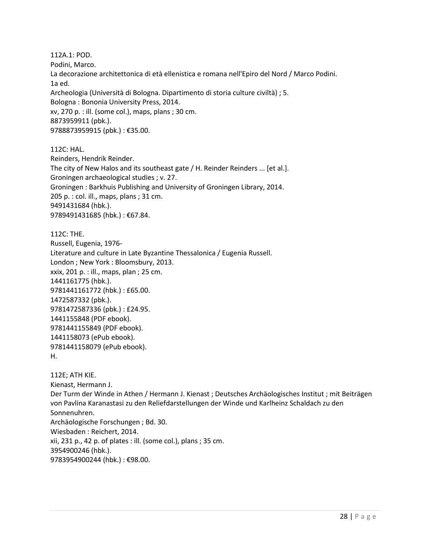112A.1: POD. Podini, Marco. La decorazione architettonica di età ellenistica e romana nell'Epiro del Nord / Marco Podini. 1a ed. Archeologia (Università di Bologna. Dipartimento di storia culture civiltà) ; 5. Bologna : Bononia University Press, 2014. xv, 270 p. : ill. (some col.), maps, plans ; 30 cm. 8873959911 (pbk.). 9788873959915 (pbk.) : €35.00.

112C: HAL.

Reinders, Hendrik Reinder. The city of New Halos and its southeast gate / H. Reinder Reinders ... [et al.]. Groningen archaeological studies ; v. 27. Groningen : Barkhuis Publishing and University of Groningen Library, 2014. 205 p. : col. ill., maps, plans ; 31 cm. 9491431684 (hbk.). 9789491431685 (hbk.) : €67.84.

112C: THE. Russell, Eugenia, 1976- Literature and culture in Late Byzantine Thessalonica / Eugenia Russell. London ; New York : Bloomsbury, 2013. xxix, 201 p. : ill., maps, plan ; 25 cm. 1441161775 (hbk.). 9781441161772 (hbk.) : £65.00. 1472587332 (pbk.). 9781472587336 (pbk.) : £24.95. 1441155848 (PDF ebook). 9781441155849 (PDF ebook). 1441158073 (ePub ebook). 9781441158079 (ePub ebook). H.

112E; ATH KIE. Kienast, Hermann J. Der Turm der Winde in Athen / Hermann J. Kienast ; Deutsches Archäologisches Institut ; mit Beiträgen von Pavlina Karanastasi zu den Reliefdarstellungen der Winde und Karlheinz Schaldach zu den Sonnenuhren. Archäologische Forschungen ; Bd. 30. Wiesbaden : Reichert, 2014. xii, 231 p., 42 p. of plates : ill. (some col.), plans ; 35 cm. 3954900246 (hbk.). 9783954900244 (hbk.) : €98.00.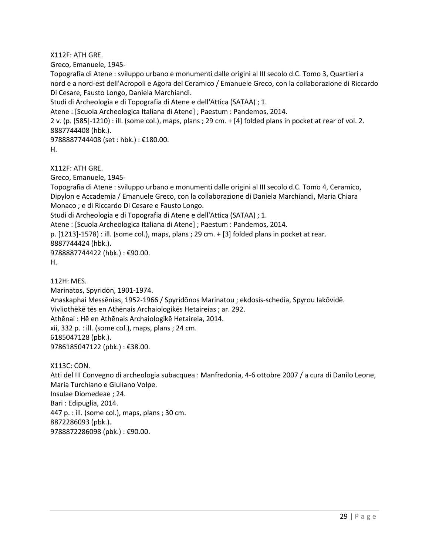X112F: ATH GRE.

Greco, Emanuele, 1945-

Topografia di Atene : sviluppo urbano e monumenti dalle origini al III secolo d.C. Tomo 3, Quartieri a nord e a nord-est dell'Acropoli e Agora del Ceramico / Emanuele Greco, con la collaborazione di Riccardo Di Cesare, Fausto Longo, Daniela Marchiandi.

Studi di Archeologia e di Topografia di Atene e dell'Attica (SATAA) ; 1.

Atene : [Scuola Archeologica Italiana di Atene] ; Paestum : Pandemos, 2014.

2 v. (p. [585]-1210) : ill. (some col.), maps, plans ; 29 cm. + [4] folded plans in pocket at rear of vol. 2. 8887744408 (hbk.).

9788887744408 (set : hbk.) : €180.00.

```
H.
```
X112F: ATH GRE.

Greco, Emanuele, 1945-

Topografia di Atene : sviluppo urbano e monumenti dalle origini al III secolo d.C. Tomo 4, Ceramico, Dipylon e Accademia / Emanuele Greco, con la collaborazione di Daniela Marchiandi, Maria Chiara Monaco ; e di Riccardo Di Cesare e Fausto Longo. Studi di Archeologia e di Topografia di Atene e dell'Attica (SATAA) ; 1. Atene : [Scuola Archeologica Italiana di Atene] ; Paestum : Pandemos, 2014.

p. [1213]-1578) : ill. (some col.), maps, plans ; 29 cm. + [3] folded plans in pocket at rear. 8887744424 (hbk.).

9788887744422 (hbk.) : €90.00.

H.

112H: MES.

Marinatos, Spyridōn, 1901-1974. Anaskaphai Messēnias, 1952-1966 / Spyridōnos Marinatou ; ekdosis-schedia, Spyrou Iakōvidē. Vivliothēkē tēs en Athēnais Archaiologikēs Hetaireias ; ar. 292. Athēnai : Hē en Athēnais Archaiologikē Hetaireia, 2014. xii, 332 p. : ill. (some col.), maps, plans ; 24 cm. 6185047128 (pbk.). 9786185047122 (pbk.) : €38.00.

X113C: CON.

Atti del III Convegno di archeologia subacquea : Manfredonia, 4-6 ottobre 2007 / a cura di Danilo Leone, Maria Turchiano e Giuliano Volpe. Insulae Diomedeae ; 24. Bari : Edipuglia, 2014. 447 p. : ill. (some col.), maps, plans ; 30 cm. 8872286093 (pbk.). 9788872286098 (pbk.) : €90.00.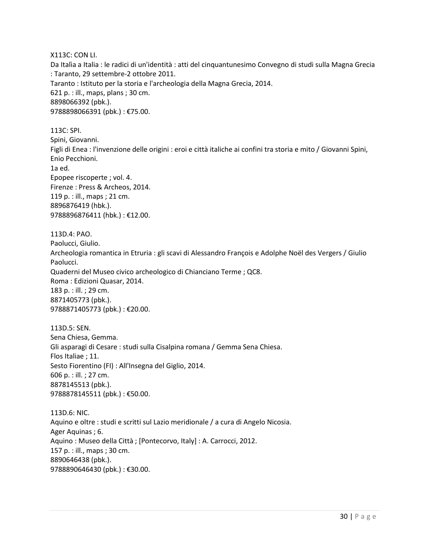X113C: CON LI.

Da Italìa a Italia : le radici di un'identità : atti del cinquantunesimo Convegno di studi sulla Magna Grecia : Taranto, 29 settembre-2 ottobre 2011. Taranto : Istituto per la storia e l'archeologia della Magna Grecia, 2014. 621 p. : ill., maps, plans ; 30 cm. 8898066392 (pbk.). 9788898066391 (pbk.) : €75.00.

113C: SPI. Spini, Giovanni. Figli di Enea : l'invenzione delle origini : eroi e città italiche ai confini tra storia e mito / Giovanni Spini, Enio Pecchioni. 1a ed. Epopee riscoperte ; vol. 4. Firenze : Press & Archeos, 2014. 119 p. : ill., maps ; 21 cm. 8896876419 (hbk.). 9788896876411 (hbk.) : €12.00.

113D.4: PAO. Paolucci, Giulio. Archeologia romantica in Etruria : gli scavi di Alessandro François e Adolphe Noël des Vergers / Giulio Paolucci. Quaderni del Museo civico archeologico di Chianciano Terme ; QC8. Roma : Edizioni Quasar, 2014. 183 p. : ill. ; 29 cm. 8871405773 (pbk.). 9788871405773 (pbk.) : €20.00.

113D.5: SEN. Sena Chiesa, Gemma. Gli asparagi di Cesare : studi sulla Cisalpina romana / Gemma Sena Chiesa. Flos Italiae ; 11. Sesto Fiorentino (FI) : All'Insegna del Giglio, 2014. 606 p. : ill. ; 27 cm. 8878145513 (pbk.). 9788878145511 (pbk.) : €50.00.

113D.6: NIC. Aquino e oltre : studi e scritti sul Lazio meridionale / a cura di Angelo Nicosia. Ager Aquinas ; 6. Aquino : Museo della Città ; [Pontecorvo, Italy] : A. Carrocci, 2012. 157 p. : ill., maps ; 30 cm. 8890646438 (pbk.). 9788890646430 (pbk.) : €30.00.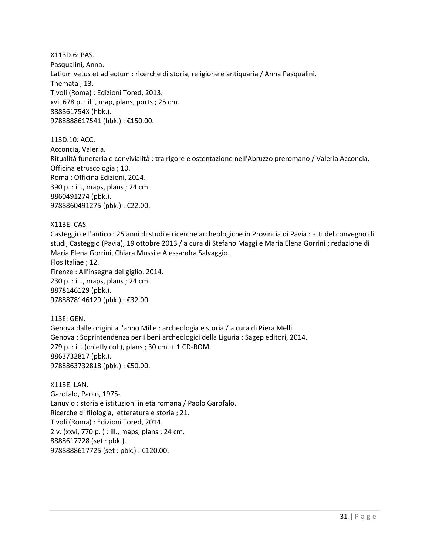X113D.6: PAS. Pasqualini, Anna. Latium vetus et adiectum : ricerche di storia, religione e antiquaria / Anna Pasqualini. Themata ; 13. Tivoli (Roma) : Edizioni Tored, 2013. xvi, 678 p. : ill., map, plans, ports ; 25 cm. 888861754X (hbk.). 9788888617541 (hbk.) : €150.00.

113D.10: ACC. Acconcia, Valeria. Ritualità funeraria e convivialità : tra rigore e ostentazione nell'Abruzzo preromano / Valeria Acconcia. Officina etruscologia ; 10. Roma : Officina Edizioni, 2014. 390 p. : ill., maps, plans ; 24 cm. 8860491274 (pbk.). 9788860491275 (pbk.) : €22.00.

#### X113E: CAS.

Casteggio e l'antico : 25 anni di studi e ricerche archeologiche in Provincia di Pavia : atti del convegno di studi, Casteggio (Pavia), 19 ottobre 2013 / a cura di Stefano Maggi e Maria Elena Gorrini ; redazione di Maria Elena Gorrini, Chiara Mussi e Alessandra Salvaggio. Flos Italiae ; 12. Firenze : All'insegna del giglio, 2014. 230 p. : ill., maps, plans ; 24 cm. 8878146129 (pbk.). 9788878146129 (pbk.) : €32.00.

113E: GEN. Genova dalle origini all'anno Mille : archeologia e storia / a cura di Piera Melli. Genova : Soprintendenza per i beni archeologici della Liguria : Sagep editori, 2014. 279 p. : ill. (chiefly col.), plans ; 30 cm. + 1 CD-ROM. 8863732817 (pbk.). 9788863732818 (pbk.) : €50.00.

X113E: LAN. Garofalo, Paolo, 1975- Lanuvio : storia e istituzioni in età romana / Paolo Garofalo. Ricerche di filologia, letteratura e storia ; 21. Tivoli (Roma) : Edizioni Tored, 2014. 2 v. (xxvi, 770 p. ) : ill., maps, plans ; 24 cm. 8888617728 (set : pbk.). 9788888617725 (set : pbk.) : €120.00.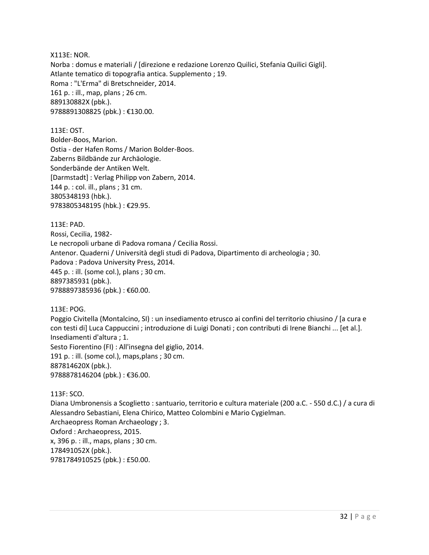X113E: NOR. Norba : domus e materiali / [direzione e redazione Lorenzo Quilici, Stefania Quilici Gigli]. Atlante tematico di topografia antica. Supplemento ; 19. Roma : "L'Erma" di Bretschneider, 2014. 161 p. : ill., map, plans ; 26 cm. 889130882X (pbk.). 9788891308825 (pbk.) : €130.00.

113E: OST. Bolder-Boos, Marion. Ostia - der Hafen Roms / Marion Bolder-Boos. Zaberns Bildbände zur Archäologie. Sonderbände der Antiken Welt. [Darmstadt] : Verlag Philipp von Zabern, 2014. 144 p. : col. ill., plans ; 31 cm. 3805348193 (hbk.). 9783805348195 (hbk.) : €29.95.

113E: PAD. Rossi, Cecilia, 1982- Le necropoli urbane di Padova romana / Cecilia Rossi. Antenor. Quaderni / Università degli studi di Padova, Dipartimento di archeologia ; 30. Padova : Padova University Press, 2014. 445 p. : ill. (some col.), plans ; 30 cm. 8897385931 (pbk.). 9788897385936 (pbk.): €60.00.

113E: POG.

Poggio Civitella (Montalcino, SI) : un insediamento etrusco ai confini del territorio chiusino / [a cura e con testi di] Luca Cappuccini ; introduzione di Luigi Donati ; con contributi di Irene Bianchi ... [et al.]. Insediamenti d'altura ; 1. Sesto Fiorentino (FI) : All'insegna del giglio, 2014. 191 p. : ill. (some col.), maps,plans ; 30 cm. 887814620X (pbk.). 9788878146204 (pbk.) : €36.00.

113F: SCO.

Diana Umbronensis a Scoglietto : santuario, territorio e cultura materiale (200 a.C. - 550 d.C.) / a cura di Alessandro Sebastiani, Elena Chirico, Matteo Colombini e Mario Cygielman. Archaeopress Roman Archaeology ; 3. Oxford : Archaeopress, 2015. x, 396 p. : ill., maps, plans ; 30 cm. 178491052X (pbk.). 9781784910525 (pbk.) : £50.00.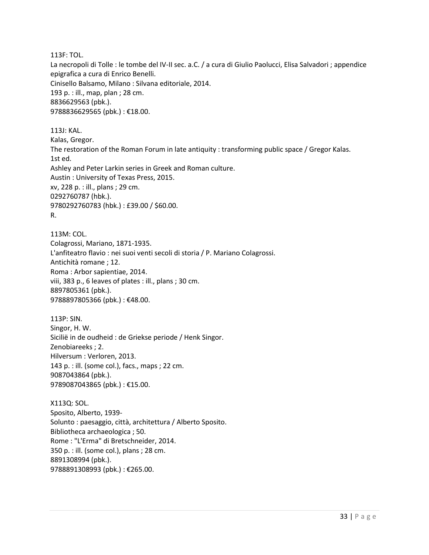113F: TOL.

La necropoli di Tolle : le tombe del IV-II sec. a.C. / a cura di Giulio Paolucci, Elisa Salvadori ; appendice epigrafica a cura di Enrico Benelli. Cinisello Balsamo, Milano : Silvana editoriale, 2014. 193 p. : ill., map, plan ; 28 cm. 8836629563 (pbk.). 9788836629565 (pbk.) : €18.00.

113J: KAL. Kalas, Gregor. The restoration of the Roman Forum in late antiquity : transforming public space / Gregor Kalas. 1st ed. Ashley and Peter Larkin series in Greek and Roman culture. Austin : University of Texas Press, 2015. xv, 228 p. : ill., plans ; 29 cm. 0292760787 (hbk.). 9780292760783 (hbk.) : £39.00 / \$60.00. R.

113M: COL. Colagrossi, Mariano, 1871-1935. L'anfiteatro flavio : nei suoi venti secoli di storia / P. Mariano Colagrossi. Antichità romane ; 12. Roma : Arbor sapientiae, 2014. viii, 383 p., 6 leaves of plates : ill., plans ; 30 cm. 8897805361 (pbk.). 9788897805366 (pbk.): €48.00.

113P: SIN. Singor, H. W. Sicilië in de oudheid : de Griekse periode / Henk Singor. Zenobiareeks ; 2. Hilversum : Verloren, 2013. 143 p. : ill. (some col.), facs., maps ; 22 cm. 9087043864 (pbk.). 9789087043865 (pbk.) : €15.00.

X113Q: SOL. Sposito, Alberto, 1939- Solunto : paesaggio, città, architettura / Alberto Sposito. Bibliotheca archaeologica ; 50. Rome : "L'Erma" di Bretschneider, 2014. 350 p. : ill. (some col.), plans ; 28 cm. 8891308994 (pbk.). 9788891308993 (pbk.) : €265.00.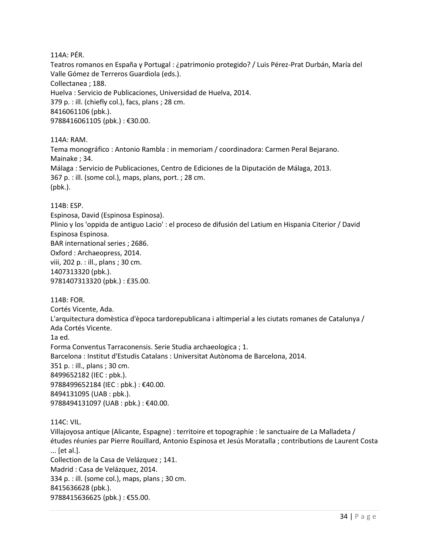114A: PÉR.

Teatros romanos en España y Portugal : ¿patrimonio protegido? / Luis Pérez-Prat Durbán, María del Valle Gómez de Terreros Guardiola (eds.). Collectanea ; 188. Huelva : Servicio de Publicaciones, Universidad de Huelva, 2014. 379 p. : ill. (chiefly col.), facs, plans ; 28 cm. 8416061106 (pbk.). 9788416061105 (pbk.): €30.00.

114A: RAM.

Tema monográfico : Antonio Rambla : in memoriam / coordinadora: Carmen Peral Bejarano. Mainake ; 34. Málaga : Servicio de Publicaciones, Centro de Ediciones de la Diputación de Málaga, 2013. 367 p. : ill. (some col.), maps, plans, port. ; 28 cm. (pbk.).

114B: ESP.

Espinosa, David (Espinosa Espinosa). Plinio y los 'oppida de antiguo Lacio' : el proceso de difusión del Latium en Hispania Citerior / David Espinosa Espinosa. BAR international series ; 2686. Oxford : Archaeopress, 2014. viii, 202 p. : ill., plans ; 30 cm. 1407313320 (pbk.). 9781407313320 (pbk.) : £35.00.

114B: FOR.

Cortés Vicente, Ada. L'arquitectura domèstica d'època tardorepublicana i altimperial a les ciutats romanes de Catalunya / Ada Cortés Vicente. 1a ed. Forma Conventus Tarraconensis. Serie Studia archaeologica ; 1. Barcelona : Institut d'Estudis Catalans : Universitat Autònoma de Barcelona, 2014. 351 p. : ill., plans ; 30 cm. 8499652182 (IEC : pbk.). 9788499652184 (IEC : pbk.) : €40.00. 8494131095 (UAB : pbk.). 9788494131097 (UAB : pbk.) : €40.00.

114C: VIL.

Villajoyosa antique (Alicante, Espagne) : territoire et topographie : le sanctuaire de La Malladeta / études réunies par Pierre Rouillard, Antonio Espinosa et Jesús Moratalla ; contributions de Laurent Costa ... [et al.]. Collection de la Casa de Velázquez ; 141. Madrid : Casa de Velázquez, 2014. 334 p. : ill. (some col.), maps, plans ; 30 cm. 8415636628 (pbk.). 9788415636625 (pbk.) : €55.00.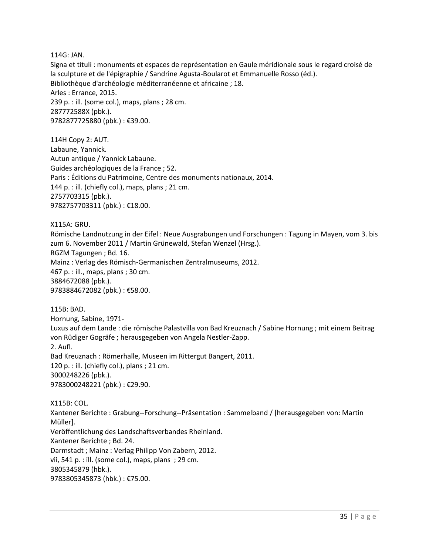114G: JAN.

Signa et tituli : monuments et espaces de représentation en Gaule méridionale sous le regard croisé de la sculpture et de l'épigraphie / Sandrine Agusta-Boularot et Emmanuelle Rosso (éd.). Bibliothèque d'archéologie méditerranéenne et africaine ; 18. Arles : Errance, 2015. 239 p. : ill. (some col.), maps, plans ; 28 cm. 287772588X (pbk.). 9782877725880 (pbk.) : €39.00.

114H Copy 2: AUT. Labaune, Yannick. Autun antique / Yannick Labaune. Guides archéologiques de la France ; 52. Paris : Éditions du Patrimoine, Centre des monuments nationaux, 2014. 144 p. : ill. (chiefly col.), maps, plans ; 21 cm. 2757703315 (pbk.). 9782757703311 (pbk.) : €18.00.

X115A: GRU. Römische Landnutzung in der Eifel : Neue Ausgrabungen und Forschungen : Tagung in Mayen, vom 3. bis zum 6. November 2011 / Martin Grünewald, Stefan Wenzel (Hrsg.). RGZM Tagungen ; Bd. 16. Mainz : Verlag des Römisch-Germanischen Zentralmuseums, 2012. 467 p. : ill., maps, plans ; 30 cm. 3884672088 (pbk.). 9783884672082 (pbk.) : €58.00.

115B: BAD. Hornung, Sabine, 1971- Luxus auf dem Lande : die römische Palastvilla von Bad Kreuznach / Sabine Hornung ; mit einem Beitrag von Rüdiger Gogräfe ; herausgegeben von Angela Nestler-Zapp. 2. Aufl. Bad Kreuznach : Römerhalle, Museen im Rittergut Bangert, 2011. 120 p. : ill. (chiefly col.), plans ; 21 cm. 3000248226 (pbk.). 9783000248221 (pbk.) : €29.90.

X115B: COL. Xantener Berichte : Grabung--Forschung--Präsentation : Sammelband / [herausgegeben von: Martin Müller]. Veröffentlichung des Landschaftsverbandes Rheinland. Xantener Berichte ; Bd. 24. Darmstadt ; Mainz : Verlag Philipp Von Zabern, 2012. vii, 541 p. : ill. (some col.), maps, plans ; 29 cm. 3805345879 (hbk.). 9783805345873 (hbk.) : €75.00.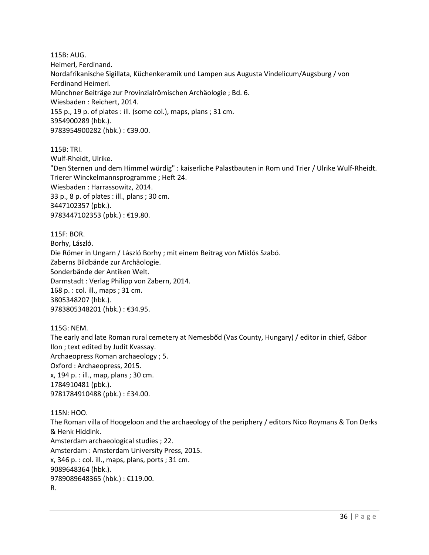115B: AUG. Heimerl, Ferdinand. Nordafrikanische Sigillata, Küchenkeramik und Lampen aus Augusta Vindelicum/Augsburg / von Ferdinand Heimerl. Münchner Beiträge zur Provinzialrömischen Archäologie ; Bd. 6. Wiesbaden : Reichert, 2014. 155 p., 19 p. of plates : ill. (some col.), maps, plans ; 31 cm. 3954900289 (hbk.). 9783954900282 (hbk.) : €39.00.

115B: TRI. Wulf-Rheidt, Ulrike. "Den Sternen und dem Himmel würdig" : kaiserliche Palastbauten in Rom und Trier / Ulrike Wulf-Rheidt. Trierer Winckelmannsprogramme ; Heft 24. Wiesbaden : Harrassowitz, 2014. 33 p., 8 p. of plates : ill., plans ; 30 cm. 3447102357 (pbk.). 9783447102353 (pbk.) : €19.80.

115F: BOR. Borhy, László. Die Römer in Ungarn / László Borhy ; mit einem Beitrag von Miklós Szabó. Zaberns Bildbände zur Archäologie. Sonderbände der Antiken Welt. Darmstadt : Verlag Philipp von Zabern, 2014. 168 p. : col. ill., maps ; 31 cm. 3805348207 (hbk.). 9783805348201 (hbk.) : €34.95.

115G: NEM.

The early and late Roman rural cemetery at Nemesbőd (Vas County, Hungary) / editor in chief, Gábor Ilon ; text edited by Judit Kvassay. Archaeopress Roman archaeology ; 5. Oxford : Archaeopress, 2015. x, 194 p. : ill., map, plans ; 30 cm. 1784910481 (pbk.). 9781784910488 (pbk.) : £34.00.

115N: HOO. The Roman villa of Hoogeloon and the archaeology of the periphery / editors Nico Roymans & Ton Derks & Henk Hiddink. Amsterdam archaeological studies ; 22. Amsterdam : Amsterdam University Press, 2015. x, 346 p. : col. ill., maps, plans, ports ; 31 cm. 9089648364 (hbk.). 9789089648365 (hbk.) : €119.00. R.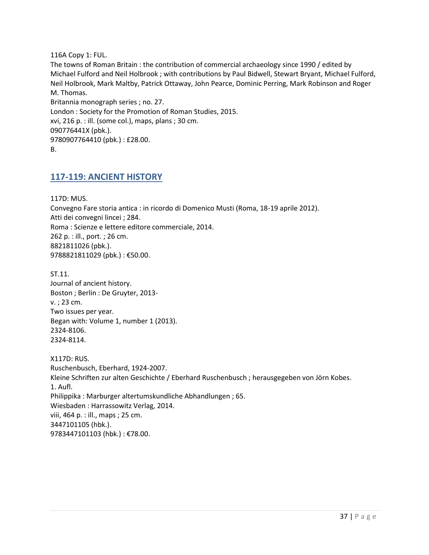116A Copy 1: FUL.

The towns of Roman Britain : the contribution of commercial archaeology since 1990 / edited by Michael Fulford and Neil Holbrook ; with contributions by Paul Bidwell, Stewart Bryant, Michael Fulford, Neil Holbrook, Mark Maltby, Patrick Ottaway, John Pearce, Dominic Perring, Mark Robinson and Roger M. Thomas. Britannia monograph series ; no. 27. London : Society for the Promotion of Roman Studies, 2015. xvi, 216 p. : ill. (some col.), maps, plans ; 30 cm. 090776441X (pbk.).

9780907764410 (pbk.) : £28.00.

<span id="page-36-0"></span>B.

## **117-119: ANCIENT HISTORY**

117D: MUS. Convegno Fare storia antica : in ricordo di Domenico Musti (Roma, 18-19 aprile 2012). Atti dei convegni lincei ; 284. Roma : Scienze e lettere editore commerciale, 2014. 262 p. : ill., port. ; 26 cm. 8821811026 (pbk.). 9788821811029 (pbk.) : €50.00.

ST.11. Journal of ancient history. Boston ; Berlin : De Gruyter, 2013 v. ; 23 cm. Two issues per year. Began with: Volume 1, number 1 (2013). 2324-8106. 2324-8114.

X117D: RUS. Ruschenbusch, Eberhard, 1924-2007. Kleine Schriften zur alten Geschichte / Eberhard Ruschenbusch ; herausgegeben von Jörn Kobes. 1. Aufl. Philippika : Marburger altertumskundliche Abhandlungen ; 65. Wiesbaden : Harrassowitz Verlag, 2014. viii, 464 p. : ill., maps ; 25 cm. 3447101105 (hbk.). 9783447101103 (hbk.) : €78.00.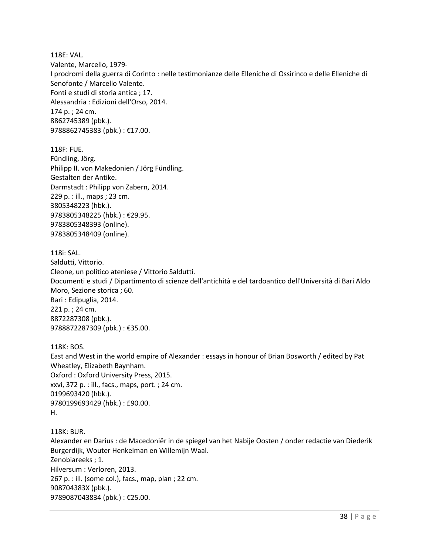118E: VAL. Valente, Marcello, 1979- I prodromi della guerra di Corinto : nelle testimonianze delle Elleniche di Ossirinco e delle Elleniche di Senofonte / Marcello Valente. Fonti e studi di storia antica ; 17. Alessandria : Edizioni dell'Orso, 2014. 174 p. ; 24 cm. 8862745389 (pbk.). 9788862745383 (pbk.) : €17.00.

118F: FUE. Fündling, Jörg. Philipp II. von Makedonien / Jörg Fündling. Gestalten der Antike. Darmstadt : Philipp von Zabern, 2014. 229 p. : ill., maps ; 23 cm. 3805348223 (hbk.). 9783805348225 (hbk.) : €29.95. 9783805348393 (online). 9783805348409 (online).

118i: SAL. Saldutti, Vittorio. Cleone, un politico ateniese / Vittorio Saldutti. Documenti e studi / Dipartimento di scienze dell'antichità e del tardoantico dell'Università di Bari Aldo Moro, Sezione storica ; 60. Bari : Edipuglia, 2014. 221 p. ; 24 cm. 8872287308 (pbk.). 9788872287309 (pbk.) : €35.00.

118K: BOS. East and West in the world empire of Alexander : essays in honour of Brian Bosworth / edited by Pat Wheatley, Elizabeth Baynham. Oxford : Oxford University Press, 2015. xxvi, 372 p. : ill., facs., maps, port. ; 24 cm. 0199693420 (hbk.). 9780199693429 (hbk.) : £90.00. H.

118K: BUR. Alexander en Darius : de Macedoniër in de spiegel van het Nabije Oosten / onder redactie van Diederik Burgerdijk, Wouter Henkelman en Willemijn Waal. Zenobiareeks ; 1. Hilversum : Verloren, 2013. 267 p. : ill. (some col.), facs., map, plan ; 22 cm. 908704383X (pbk.). 9789087043834 (pbk.) : €25.00.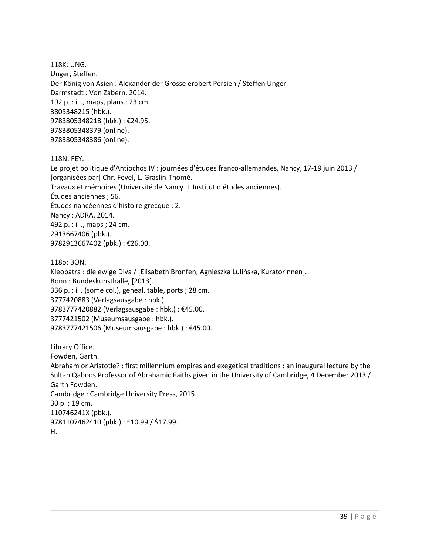118K: UNG. Unger, Steffen. Der König von Asien : Alexander der Grosse erobert Persien / Steffen Unger. Darmstadt : Von Zabern, 2014. 192 p. : ill., maps, plans ; 23 cm. 3805348215 (hbk.). 9783805348218 (hbk.) : €24.95. 9783805348379 (online). 9783805348386 (online).

118N: FEY.

Le projet politique d'Antiochos IV : journées d'études franco-allemandes, Nancy, 17-19 juin 2013 / [organisées par] Chr. Feyel, L. Graslin-Thomé. Travaux et mémoires (Université de Nancy II. Institut d'études anciennes). Études anciennes ; 56. Études nancéennes d'histoire grecque ; 2. Nancy : ADRA, 2014. 492 p. : ill., maps ; 24 cm. 2913667406 (pbk.). 9782913667402 (pbk.) : €26.00.

118o: BON. Kleopatra : die ewige Diva / [Elisabeth Bronfen, Agnieszka Lulińska, Kuratorinnen]. Bonn : Bundeskunsthalle, [2013]. 336 p. : ill. (some col.), geneal. table, ports ; 28 cm. 3777420883 (Verlagsausgabe : hbk.). 9783777420882 (Verlagsausgabe : hbk.) : €45.00. 3777421502 (Museumsausgabe : hbk.). 9783777421506 (Museumsausgabe : hbk.) : €45.00.

Library Office. Fowden, Garth. Abraham or Aristotle? : first millennium empires and exegetical traditions : an inaugural lecture by the Sultan Qaboos Professor of Abrahamic Faiths given in the University of Cambridge, 4 December 2013 / Garth Fowden. Cambridge : Cambridge University Press, 2015. 30 p. ; 19 cm. 110746241X (pbk.). 9781107462410 (pbk.) : £10.99 / \$17.99. H.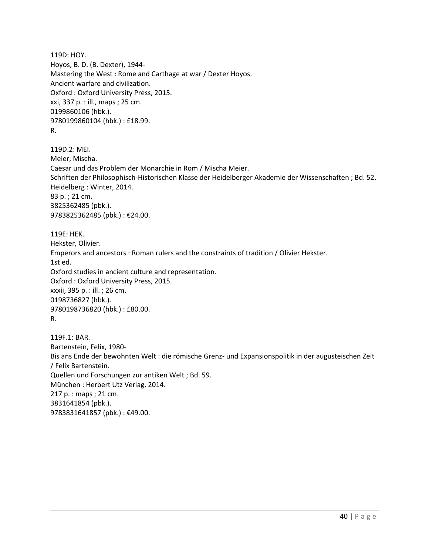119D: HOY. Hoyos, B. D. (B. Dexter), 1944- Mastering the West : Rome and Carthage at war / Dexter Hoyos. Ancient warfare and civilization. Oxford : Oxford University Press, 2015. xxi, 337 p. : ill., maps ; 25 cm. 0199860106 (hbk.). 9780199860104 (hbk.) : £18.99. R.

119D.2: MEI. Meier, Mischa. Caesar und das Problem der Monarchie in Rom / Mischa Meier. Schriften der Philosophisch-Historischen Klasse der Heidelberger Akademie der Wissenschaften ; Bd. 52. Heidelberg : Winter, 2014. 83 p. ; 21 cm. 3825362485 (pbk.). 9783825362485 (pbk.) : €24.00.

119E: HEK. Hekster, Olivier. Emperors and ancestors : Roman rulers and the constraints of tradition / Olivier Hekster. 1st ed. Oxford studies in ancient culture and representation. Oxford : Oxford University Press, 2015. xxxii, 395 p. : ill. ; 26 cm. 0198736827 (hbk.). 9780198736820 (hbk.) : £80.00. R.

119F.1: BAR. Bartenstein, Felix, 1980- Bis ans Ende der bewohnten Welt : die römische Grenz- und Expansionspolitik in der augusteischen Zeit / Felix Bartenstein. Quellen und Forschungen zur antiken Welt ; Bd. 59. München : Herbert Utz Verlag, 2014. 217 p. : maps ; 21 cm. 3831641854 (pbk.). 9783831641857 (pbk.) : €49.00.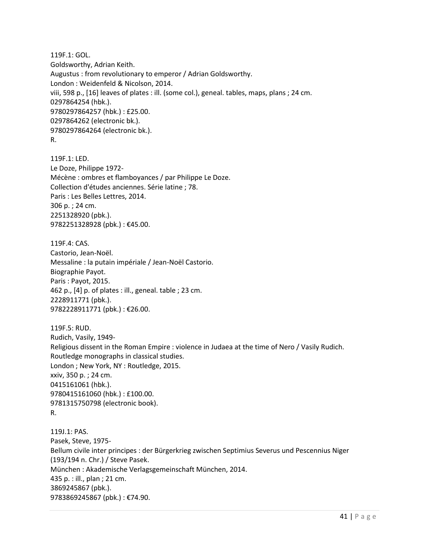119F.1: GOL. Goldsworthy, Adrian Keith. Augustus : from revolutionary to emperor / Adrian Goldsworthy. London : Weidenfeld & Nicolson, 2014. viii, 598 p., [16] leaves of plates : ill. (some col.), geneal. tables, maps, plans ; 24 cm. 0297864254 (hbk.). 9780297864257 (hbk.) : £25.00. 0297864262 (electronic bk.). 9780297864264 (electronic bk.). R.

119F.1: LED. Le Doze, Philippe 1972- Mécène : ombres et flamboyances / par Philippe Le Doze. Collection d'études anciennes. Série latine ; 78. Paris : Les Belles Lettres, 2014. 306 p. ; 24 cm. 2251328920 (pbk.). 9782251328928 (pbk.) : €45.00.

119F.4: CAS. Castorio, Jean-Noël. Messaline : la putain impériale / Jean-Noël Castorio. Biographie Payot. Paris : Payot, 2015. 462 p., [4] p. of plates : ill., geneal. table ; 23 cm. 2228911771 (pbk.). 9782228911771 (pbk.) : €26.00.

119F.5: RUD. Rudich, Vasily, 1949- Religious dissent in the Roman Empire : violence in Judaea at the time of Nero / Vasily Rudich. Routledge monographs in classical studies. London ; New York, NY : Routledge, 2015. xxiv, 350 p. ; 24 cm. 0415161061 (hbk.). 9780415161060 (hbk.) : £100.00. 9781315750798 (electronic book). R.

119J.1: PAS. Pasek, Steve, 1975- Bellum civile inter principes : der Bürgerkrieg zwischen Septimius Severus und Pescennius Niger (193/194 n. Chr.) / Steve Pasek. München : Akademische Verlagsgemeinschaft München, 2014. 435 p. : ill., plan ; 21 cm. 3869245867 (pbk.). 9783869245867 (pbk.) : €74.90.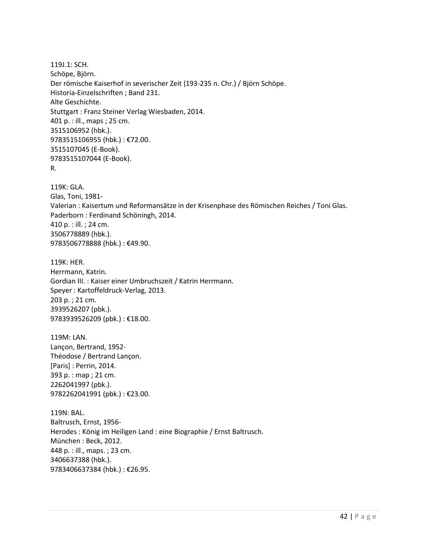119J.1: SCH. Schöpe, Björn. Der römische Kaiserhof in severischer Zeit (193-235 n. Chr.) / Björn Schöpe. Historia-Einzelschriften ; Band 231. Alte Geschichte. Stuttgart : Franz Steiner Verlag Wiesbaden, 2014. 401 p. : ill., maps ; 25 cm. 3515106952 (hbk.). 9783515106955 (hbk.) : €72.00. 3515107045 (E-Book). 9783515107044 (E-Book). R.

119K: GLA. Glas, Toni, 1981- Valerian : Kaisertum und Reformansätze in der Krisenphase des Römischen Reiches / Toni Glas. Paderborn : Ferdinand Schöningh, 2014. 410 p. : ill. ; 24 cm. 3506778889 (hbk.). 9783506778888 (hbk.) : €49.90.

119K: HER. Herrmann, Katrin. Gordian III. : Kaiser einer Umbruchszeit / Katrin Herrmann. Speyer : Kartoffeldruck-Verlag, 2013. 203 p. ; 21 cm. 3939526207 (pbk.). 9783939526209 (pbk.) : €18.00.

119M: LAN. Lançon, Bertrand, 1952- Théodose / Bertrand Lançon. [Paris] : Perrin, 2014. 393 p. : map ; 21 cm. 2262041997 (pbk.). 9782262041991 (pbk.) : €23.00.

119N: BAL. Baltrusch, Ernst, 1956- Herodes : König im Heiligen Land : eine Biographie / Ernst Baltrusch. München : Beck, 2012. 448 p. : ill., maps. ; 23 cm. 3406637388 (hbk.). 9783406637384 (hbk.) : €26.95.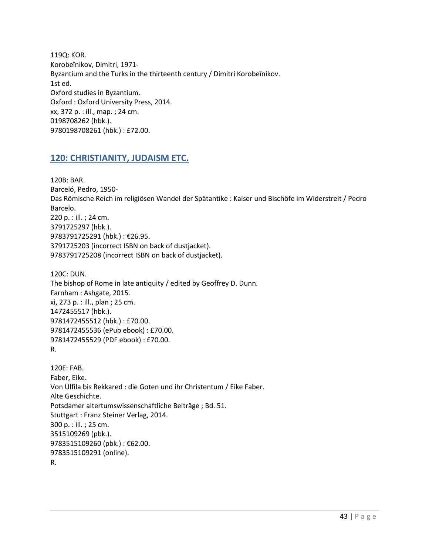119Q: KOR. Korobeĭnikov, Dimitri, 1971- Byzantium and the Turks in the thirteenth century / Dimitri Korobeĭnikov. 1st ed. Oxford studies in Byzantium. Oxford : Oxford University Press, 2014. xx, 372 p. : ill., map. ; 24 cm. 0198708262 (hbk.). 9780198708261 (hbk.) : £72.00.

## <span id="page-42-0"></span>**120: CHRISTIANITY, JUDAISM ETC.**

120B: BAR. Barceló, Pedro, 1950- Das Römische Reich im religiösen Wandel der Spätantike : Kaiser und Bischöfe im Widerstreit / Pedro Barcelo. 220 p. : ill. ; 24 cm. 3791725297 (hbk.). 9783791725291 (hbk.) : €26.95. 3791725203 (incorrect ISBN on back of dustjacket). 9783791725208 (incorrect ISBN on back of dustjacket).

120C: DUN. The bishop of Rome in late antiquity / edited by Geoffrey D. Dunn. Farnham : Ashgate, 2015. xi, 273 p. : ill., plan ; 25 cm. 1472455517 (hbk.). 9781472455512 (hbk.) : £70.00. 9781472455536 (ePub ebook) : £70.00. 9781472455529 (PDF ebook) : £70.00. R.

120E: FAB. Faber, Eike. Von Ulfila bis Rekkared : die Goten und ihr Christentum / Eike Faber. Alte Geschichte. Potsdamer altertumswissenschaftliche Beiträge ; Bd. 51. Stuttgart : Franz Steiner Verlag, 2014. 300 p. : ill. ; 25 cm. 3515109269 (pbk.). 9783515109260 (pbk.) : €62.00. 9783515109291 (online). R.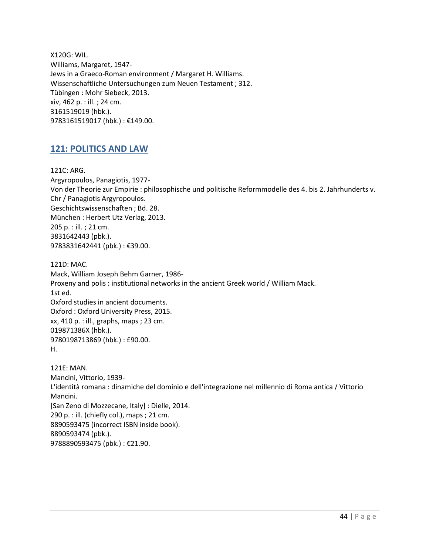X120G: WIL. Williams, Margaret, 1947- Jews in a Graeco-Roman environment / Margaret H. Williams. Wissenschaftliche Untersuchungen zum Neuen Testament ; 312. Tübingen : Mohr Siebeck, 2013. xiv, 462 p. : ill. ; 24 cm. 3161519019 (hbk.). 9783161519017 (hbk.) : €149.00.

## <span id="page-43-0"></span>**121: POLITICS AND LAW**

121C: ARG. Argyropoulos, Panagiotis, 1977- Von der Theorie zur Empirie : philosophische und politische Reformmodelle des 4. bis 2. Jahrhunderts v. Chr / Panagiotis Argyropoulos. Geschichtswissenschaften ; Bd. 28. München : Herbert Utz Verlag, 2013. 205 p. : ill. ; 21 cm. 3831642443 (pbk.). 9783831642441 (pbk.) : €39.00.

121D: MAC. Mack, William Joseph Behm Garner, 1986- Proxeny and polis : institutional networks in the ancient Greek world / William Mack. 1st ed. Oxford studies in ancient documents. Oxford : Oxford University Press, 2015. xx, 410 p. : ill., graphs, maps ; 23 cm. 019871386X (hbk.). 9780198713869 (hbk.) : £90.00. H.

121E: MAN. Mancini, Vittorio, 1939- L'identità romana : dinamiche del dominio e dell'integrazione nel millennio di Roma antica / Vittorio Mancini. [San Zeno di Mozzecane, Italy] : Dielle, 2014. 290 p. : ill. (chiefly col.), maps ; 21 cm. 8890593475 (incorrect ISBN inside book). 8890593474 (pbk.). 9788890593475 (pbk.) : €21.90.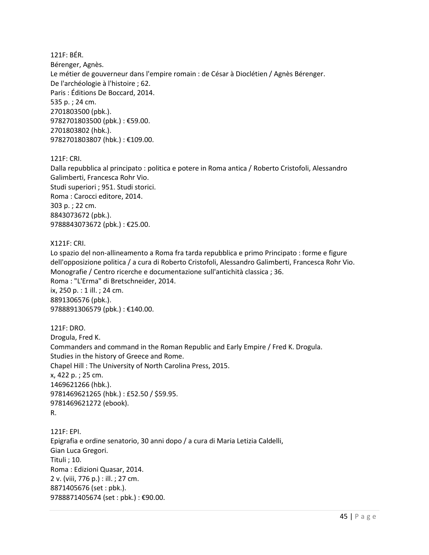121F: BÉR. Bérenger, Agnès. Le métier de gouverneur dans l'empire romain : de César à Dioclétien / Agnès Bérenger. De l'archéologie à l'histoire ; 62. Paris : Éditions De Boccard, 2014. 535 p. ; 24 cm. 2701803500 (pbk.). 9782701803500 (pbk.) : €59.00. 2701803802 (hbk.). 9782701803807 (hbk.) : €109.00.

121F: CRI.

Dalla repubblica al principato : politica e potere in Roma antica / Roberto Cristofoli, Alessandro Galimberti, Francesca Rohr Vio. Studi superiori ; 951. Studi storici. Roma : Carocci editore, 2014. 303 p. ; 22 cm. 8843073672 (pbk.). 9788843073672 (pbk.) : €25.00.

#### X121F: CRI.

Lo spazio del non-allineamento a Roma fra tarda repubblica e primo Principato : forme e figure dell'opposizione politica / a cura di Roberto Cristofoli, Alessandro Galimberti, Francesca Rohr Vio. Monografie / Centro ricerche e documentazione sull'antichità classica ; 36. Roma : "L'Erma" di Bretschneider, 2014. ix, 250 p. : 1 ill. ; 24 cm. 8891306576 (pbk.). 9788891306579 (pbk.) : €140.00.

121F: DRO. Drogula, Fred K. Commanders and command in the Roman Republic and Early Empire / Fred K. Drogula. Studies in the history of Greece and Rome. Chapel Hill : The University of North Carolina Press, 2015. x, 422 p. ; 25 cm. 1469621266 (hbk.). 9781469621265 (hbk.) : £52.50 / \$59.95. 9781469621272 (ebook). R.

121F: EPI. Epigrafia e ordine senatorio, 30 anni dopo / a cura di Maria Letizia Caldelli, Gian Luca Gregori. Tituli ; 10. Roma : Edizioni Quasar, 2014. 2 v. (viii, 776 p.) : ill. ; 27 cm. 8871405676 (set : pbk.). 9788871405674 (set : pbk.) : €90.00.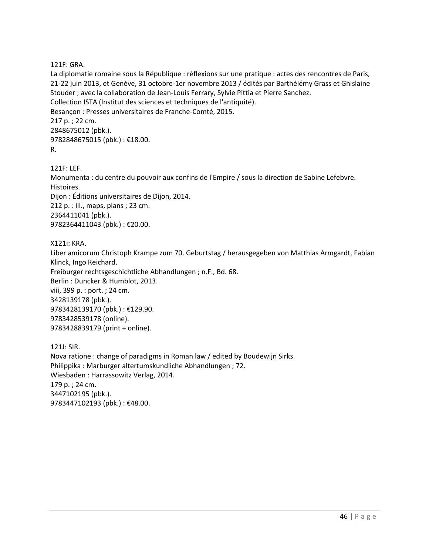121F: GRA.

La diplomatie romaine sous la République : réflexions sur une pratique : actes des rencontres de Paris, 21-22 juin 2013, et Genève, 31 octobre-1er novembre 2013 / édités par Barthélémy Grass et Ghislaine Stouder ; avec la collaboration de Jean-Louis Ferrary, Sylvie Pittia et Pierre Sanchez. Collection ISTA (Institut des sciences et techniques de l'antiquité). Besançon : Presses universitaires de Franche-Comté, 2015. 217 p. ; 22 cm. 2848675012 (pbk.). 9782848675015 (pbk.) : €18.00. R.

121F: LEF. Monumenta : du centre du pouvoir aux confins de l'Empire / sous la direction de Sabine Lefebvre. Histoires. Dijon : Éditions universitaires de Dijon, 2014. 212 p. : ill., maps, plans ; 23 cm. 2364411041 (pbk.). 9782364411043 (pbk.) : €20.00.

X121i: KRA.

Liber amicorum Christoph Krampe zum 70. Geburtstag / herausgegeben von Matthias Armgardt, Fabian Klinck, Ingo Reichard. Freiburger rechtsgeschichtliche Abhandlungen ; n.F., Bd. 68. Berlin : Duncker & Humblot, 2013. viii, 399 p. : port. ; 24 cm. 3428139178 (pbk.). 9783428139170 (pbk.) : €129.90. 9783428539178 (online). 9783428839179 (print + online).

121J: SIR. Nova ratione : change of paradigms in Roman law / edited by Boudewijn Sirks. Philippika : Marburger altertumskundliche Abhandlungen ; 72. Wiesbaden : Harrassowitz Verlag, 2014. 179 p. ; 24 cm. 3447102195 (pbk.). 9783447102193 (pbk.): €48.00.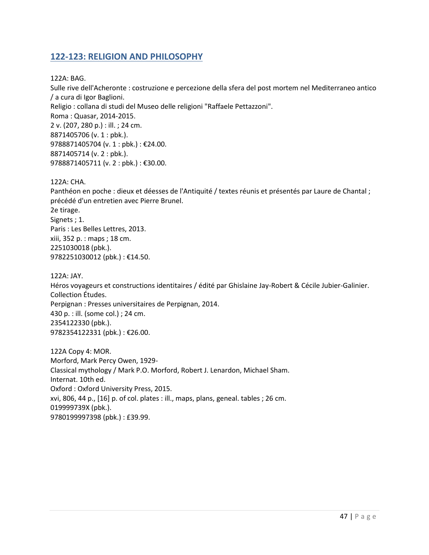## <span id="page-46-0"></span>**122-123: RELIGION AND PHILOSOPHY**

122A: BAG.

Sulle rive dell'Acheronte : costruzione e percezione della sfera del post mortem nel Mediterraneo antico / a cura di Igor Baglioni. Religio : collana di studi del Museo delle religioni "Raffaele Pettazzoni". Roma : Quasar, 2014-2015. 2 v. (207, 280 p.) : ill. ; 24 cm. 8871405706 (v. 1 : pbk.). 9788871405704 (v. 1 : pbk.) : €24.00. 8871405714 (v. 2 : pbk.). 9788871405711 (v. 2 : pbk.) : €30.00.

122A: CHA.

Panthéon en poche : dieux et déesses de l'Antiquité / textes réunis et présentés par Laure de Chantal ; précédé d'un entretien avec Pierre Brunel. 2e tirage. Signets ; 1. Paris : Les Belles Lettres, 2013. xiii, 352 p. : maps ; 18 cm. 2251030018 (pbk.). 9782251030012 (pbk.) : €14.50.

122A: JAY. Héros voyageurs et constructions identitaires / édité par Ghislaine Jay-Robert & Cécile Jubier-Galinier. Collection Études. Perpignan : Presses universitaires de Perpignan, 2014. 430 p. : ill. (some col.) ; 24 cm. 2354122330 (pbk.). 9782354122331 (pbk.) : €26.00.

122A Copy 4: MOR. Morford, Mark Percy Owen, 1929- Classical mythology / Mark P.O. Morford, Robert J. Lenardon, Michael Sham. Internat. 10th ed. Oxford : Oxford University Press, 2015. xvi, 806, 44 p., [16] p. of col. plates : ill., maps, plans, geneal. tables ; 26 cm. 019999739X (pbk.). 9780199997398 (pbk.) : £39.99.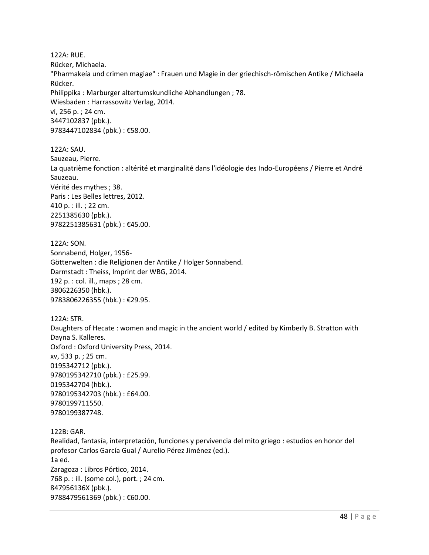122A: RUE. Rücker, Michaela. "Pharmakeía und crimen magiae" : Frauen und Magie in der griechisch-römischen Antike / Michaela Rücker. Philippika : Marburger altertumskundliche Abhandlungen ; 78. Wiesbaden : Harrassowitz Verlag, 2014. vi, 256 p. ; 24 cm. 3447102837 (pbk.). 9783447102834 (pbk.): €58.00.

122A: SAU. Sauzeau, Pierre. La quatrième fonction : altérité et marginalité dans l'idéologie des Indo-Européens / Pierre et André Sauzeau. Vérité des mythes ; 38. Paris : Les Belles lettres, 2012. 410 p. : ill. ; 22 cm. 2251385630 (pbk.). 9782251385631 (pbk.) : €45.00.

122A: SON. Sonnabend, Holger, 1956- Götterwelten : die Religionen der Antike / Holger Sonnabend. Darmstadt : Theiss, Imprint der WBG, 2014. 192 p. : col. ill., maps ; 28 cm. 3806226350 (hbk.). 9783806226355 (hbk.) : €29.95.

122A: STR. Daughters of Hecate : women and magic in the ancient world / edited by Kimberly B. Stratton with Dayna S. Kalleres. Oxford : Oxford University Press, 2014. xv, 533 p. ; 25 cm. 0195342712 (pbk.). 9780195342710 (pbk.) : £25.99. 0195342704 (hbk.). 9780195342703 (hbk.) : £64.00. 9780199711550. 9780199387748.

122B: GAR. Realidad, fantasía, interpretación, funciones y pervivencia del mito griego : estudios en honor del profesor Carlos García Gual / Aurelio Pérez Jiménez (ed.). 1a ed. Zaragoza : Libros Pórtico, 2014. 768 p. : ill. (some col.), port. ; 24 cm. 847956136X (pbk.). 9788479561369 (pbk.): €60.00.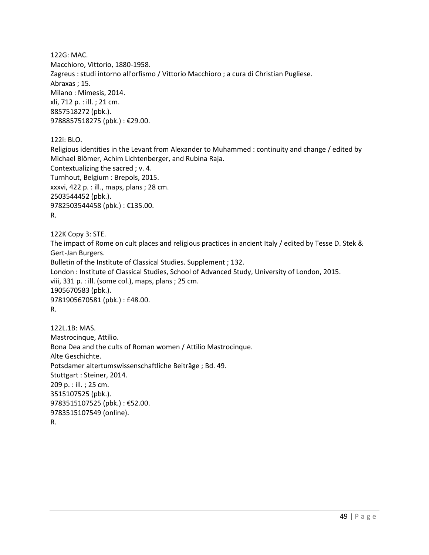122G: MAC. Macchioro, Vittorio, 1880-1958. Zagreus : studi intorno all'orfismo / Vittorio Macchioro ; a cura di Christian Pugliese. Abraxas ; 15. Milano : Mimesis, 2014. xli, 712 p. : ill. ; 21 cm. 8857518272 (pbk.). 9788857518275 (pbk.) : €29.00.

122i: BLO.

Religious identities in the Levant from Alexander to Muhammed : continuity and change / edited by Michael Blömer, Achim Lichtenberger, and Rubina Raja. Contextualizing the sacred ; v. 4. Turnhout, Belgium : Brepols, 2015. xxxvi, 422 p. : ill., maps, plans ; 28 cm. 2503544452 (pbk.). 9782503544458 (pbk.) : €135.00. R.

122K Copy 3: STE.

The impact of Rome on cult places and religious practices in ancient Italy / edited by Tesse D. Stek & Gert-Jan Burgers. Bulletin of the Institute of Classical Studies. Supplement ; 132. London : Institute of Classical Studies, School of Advanced Study, University of London, 2015. viii, 331 p. : ill. (some col.), maps, plans ; 25 cm. 1905670583 (pbk.). 9781905670581 (pbk.) : £48.00. R.

122L.1B: MAS. Mastrocinque, Attilio. Bona Dea and the cults of Roman women / Attilio Mastrocinque. Alte Geschichte. Potsdamer altertumswissenschaftliche Beiträge ; Bd. 49. Stuttgart : Steiner, 2014. 209 p. : ill. ; 25 cm. 3515107525 (pbk.). 9783515107525 (pbk.) : €52.00. 9783515107549 (online). R.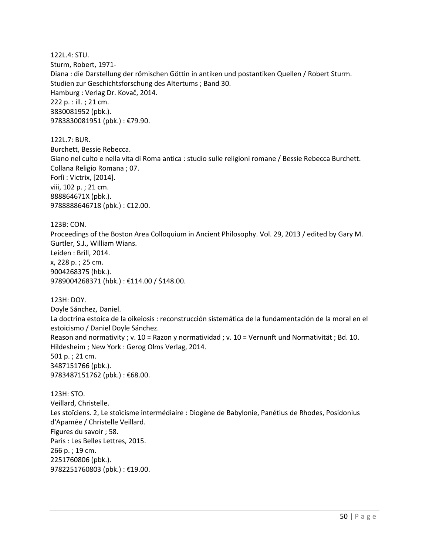122L.4: STU. Sturm, Robert, 1971- Diana : die Darstellung der römischen Göttin in antiken und postantiken Quellen / Robert Sturm. Studien zur Geschichtsforschung des Altertums ; Band 30. Hamburg : Verlag Dr. Kovač, 2014. 222 p. : ill. ; 21 cm. 3830081952 (pbk.). 9783830081951 (pbk.) : €79.90.

122L.7: BUR. Burchett, Bessie Rebecca. Giano nel culto e nella vita di Roma antica : studio sulle religioni romane / Bessie Rebecca Burchett. Collana Religio Romana ; 07. Forlì : Victrix, [2014]. viii, 102 p. ; 21 cm. 888864671X (pbk.). 9788888646718 (pbk.) : €12.00.

123B: CON. Proceedings of the Boston Area Colloquium in Ancient Philosophy. Vol. 29, 2013 / edited by Gary M. Gurtler, S.J., William Wians. Leiden : Brill, 2014. x, 228 p. ; 25 cm. 9004268375 (hbk.). 9789004268371 (hbk.) : €114.00 / \$148.00.

123H: DOY. Doyle Sánchez, Daniel. La doctrina estoica de la oikeiosis : reconstrucción sistemática de la fundamentación de la moral en el estoicismo / Daniel Doyle Sánchez. Reason and normativity ; v. 10 = Razon y normatividad ; v. 10 = Vernunft und Normativität ; Bd. 10. Hildesheim ; New York : Gerog Olms Verlag, 2014. 501 p. ; 21 cm. 3487151766 (pbk.). 9783487151762 (pbk.) : €68.00.

123H: STO. Veillard, Christelle. Les stoïciens. 2, Le stoïcisme intermédiaire : Diogène de Babylonie, Panétius de Rhodes, Posidonius d'Apamée / Christelle Veillard. Figures du savoir ; 58. Paris : Les Belles Lettres, 2015. 266 p. ; 19 cm. 2251760806 (pbk.). 9782251760803 (pbk.) : €19.00.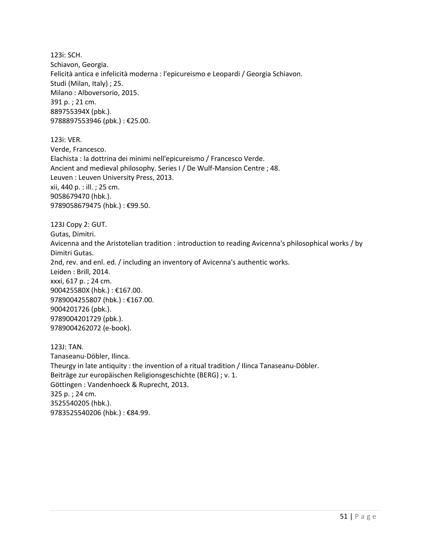123i: SCH. Schiavon, Georgia. Felicità antica e infelicità moderna : l'epicureismo e Leopardi / Georgia Schiavon. Studi (Milan, Italy) ; 25. Milano : Alboversorio, 2015. 391 p. ; 21 cm. 889755394X (pbk.). 9788897553946 (pbk.) : €25.00.

123i: VER. Verde, Francesco. Elachista : la dottrina dei minimi nell'epicureismo / Francesco Verde. Ancient and medieval philosophy. Series I / De Wulf-Mansion Centre ; 48. Leuven : Leuven University Press, 2013. xii, 440 p. : ill. ; 25 cm. 9058679470 (hbk.). 9789058679475 (hbk.) : €99.50.

123J Copy 2: GUT. Gutas, Dimitri. Avicenna and the Aristotelian tradition : introduction to reading Avicenna's philosophical works / by Dimitri Gutas. 2nd, rev. and enl. ed. / including an inventory of Avicenna's authentic works. Leiden : Brill, 2014. xxxi, 617 p. ; 24 cm. 900425580X (hbk.) : €167.00. 9789004255807 (hbk.) : €167.00. 9004201726 (pbk.). 9789004201729 (pbk.). 9789004262072 (e-book).

123J: TAN. Tanaseanu-Döbler, Ilinca. Theurgy in late antiquity : the invention of a ritual tradition / Ilinca Tanaseanu-Döbler. Beiträge zur europäischen Religionsgeschichte (BERG) ; v. 1. Göttingen : Vandenhoeck & Ruprecht, 2013. 325 p. ; 24 cm. 3525540205 (hbk.). 9783525540206 (hbk.) : €84.99.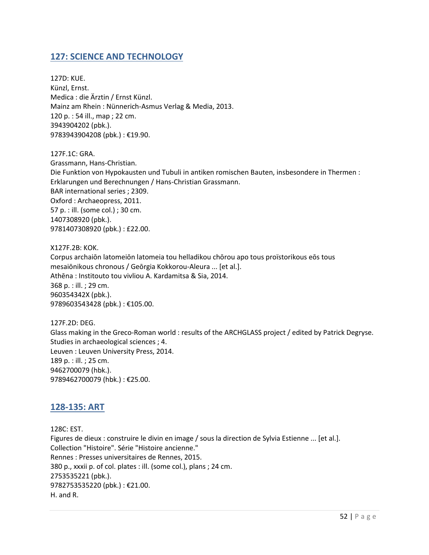## <span id="page-51-0"></span>**127: SCIENCE AND TECHNOLOGY**

127D: KUE. Künzl, Ernst. Medica : die Ärztin / Ernst Künzl. Mainz am Rhein : Nünnerich-Asmus Verlag & Media, 2013. 120 p. : 54 ill., map ; 22 cm. 3943904202 (pbk.). 9783943904208 (pbk.) : €19.90.

127F.1C: GRA. Grassmann, Hans-Christian. Die Funktion von Hypokausten und Tubuli in antiken romischen Bauten, insbesondere in Thermen : Erklarungen und Berechnungen / Hans-Christian Grassmann. BAR international series ; 2309. Oxford : Archaeopress, 2011. 57 p. : ill. (some col.) ; 30 cm. 1407308920 (pbk.). 9781407308920 (pbk.) : £22.00.

X127F.2B: KOK. Corpus archaiōn latomeiōn latomeia tou helladikou chōrou apo tous proïstorikous eōs tous mesaiōnikous chronous / Geōrgia Kokkorou-Aleura ... [et al.]. Athēna : Institouto tou vivliou A. Kardamitsa & Sia, 2014. 368 p. : ill. ; 29 cm. 960354342X (pbk.). 9789603543428 (pbk.) : €105.00.

127F.2D: DEG. Glass making in the Greco-Roman world : results of the ARCHGLASS project / edited by Patrick Degryse. Studies in archaeological sciences ; 4. Leuven : Leuven University Press, 2014. 189 p. : ill. ; 25 cm. 9462700079 (hbk.). 9789462700079 (hbk.) : €25.00.

## <span id="page-51-1"></span>**128-135: ART**

128C: EST. Figures de dieux : construire le divin en image / sous la direction de Sylvia Estienne ... [et al.]. Collection "Histoire". Série "Histoire ancienne." Rennes : Presses universitaires de Rennes, 2015. 380 p., xxxii p. of col. plates : ill. (some col.), plans ; 24 cm. 2753535221 (pbk.). 9782753535220 (pbk.) : €21.00. H. and R.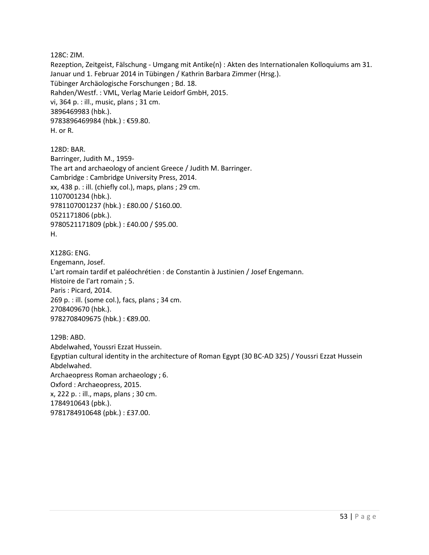128C: ZIM.

Rezeption, Zeitgeist, Fälschung - Umgang mit Antike(n) : Akten des Internationalen Kolloquiums am 31. Januar und 1. Februar 2014 in Tübingen / Kathrin Barbara Zimmer (Hrsg.). Tübinger Archäologische Forschungen ; Bd. 18. Rahden/Westf. : VML, Verlag Marie Leidorf GmbH, 2015. vi, 364 p. : ill., music, plans ; 31 cm. 3896469983 (hbk.). 9783896469984 (hbk.) : €59.80. H. or R.

128D: BAR. Barringer, Judith M., 1959- The art and archaeology of ancient Greece / Judith M. Barringer. Cambridge : Cambridge University Press, 2014. xx, 438 p. : ill. (chiefly col.), maps, plans ; 29 cm. 1107001234 (hbk.). 9781107001237 (hbk.) : £80.00 / \$160.00. 0521171806 (pbk.). 9780521171809 (pbk.) : £40.00 / \$95.00. H.

X128G: ENG. Engemann, Josef. L'art romain tardif et paléochrétien : de Constantin à Justinien / Josef Engemann. Histoire de l'art romain ; 5. Paris : Picard, 2014. 269 p. : ill. (some col.), facs, plans ; 34 cm. 2708409670 (hbk.). 9782708409675 (hbk.) : €89.00.

129B: ABD. Abdelwahed, Youssri Ezzat Hussein. Egyptian cultural identity in the architecture of Roman Egypt (30 BC-AD 325) / Youssri Ezzat Hussein Abdelwahed. Archaeopress Roman archaeology ; 6. Oxford : Archaeopress, 2015. x, 222 p. : ill., maps, plans ; 30 cm. 1784910643 (pbk.). 9781784910648 (pbk.) : £37.00.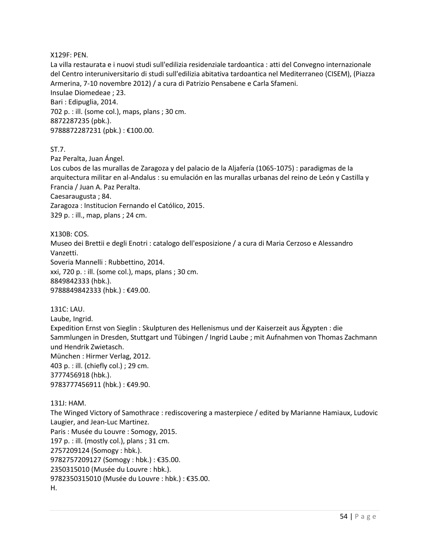X129F: PEN.

La villa restaurata e i nuovi studi sull'edilizia residenziale tardoantica : atti del Convegno internazionale del Centro interuniversitario di studi sull'edilizia abitativa tardoantica nel Mediterraneo (CISEM), (Piazza Armerina, 7-10 novembre 2012) / a cura di Patrizio Pensabene e Carla Sfameni. Insulae Diomedeae ; 23. Bari : Edipuglia, 2014. 702 p. : ill. (some col.), maps, plans ; 30 cm. 8872287235 (pbk.). 9788872287231 (pbk.) : €100.00.

ST.7.

Paz Peralta, Juan Ángel.

Los cubos de las murallas de Zaragoza y del palacio de la Aljafería (1065-1075) : paradigmas de la arquitectura militar en al-Andalus : su emulación en las murallas urbanas del reino de León y Castilla y Francia / Juan A. Paz Peralta.

Caesaraugusta ; 84.

Zaragoza : Institucion Fernando el Católico, 2015. 329 p. : ill., map, plans ; 24 cm.

X130B: COS. Museo dei Brettii e degli Enotri : catalogo dell'esposizione / a cura di Maria Cerzoso e Alessandro Vanzetti. Soveria Mannelli : Rubbettino, 2014. xxi, 720 p. : ill. (some col.), maps, plans ; 30 cm. 8849842333 (hbk.). 9788849842333 (hbk.) : €49.00.

131C: LAU. Laube, Ingrid. Expedition Ernst von Sieglin : Skulpturen des Hellenismus und der Kaiserzeit aus Ägypten : die Sammlungen in Dresden, Stuttgart und Tübingen / Ingrid Laube ; mit Aufnahmen von Thomas Zachmann und Hendrik Zwietasch. München : Hirmer Verlag, 2012. 403 p. : ill. (chiefly col.) ; 29 cm. 3777456918 (hbk.). 9783777456911 (hbk.) : €49.90.

#### 131J: HAM.

The Winged Victory of Samothrace : rediscovering a masterpiece / edited by Marianne Hamiaux, Ludovic Laugier, and Jean-Luc Martinez. Paris : Musée du Louvre : Somogy, 2015. 197 p. : ill. (mostly col.), plans ; 31 cm. 2757209124 (Somogy : hbk.). 9782757209127 (Somogy : hbk.) : €35.00. 2350315010 (Musée du Louvre : hbk.). 9782350315010 (Musée du Louvre : hbk.) : €35.00. H.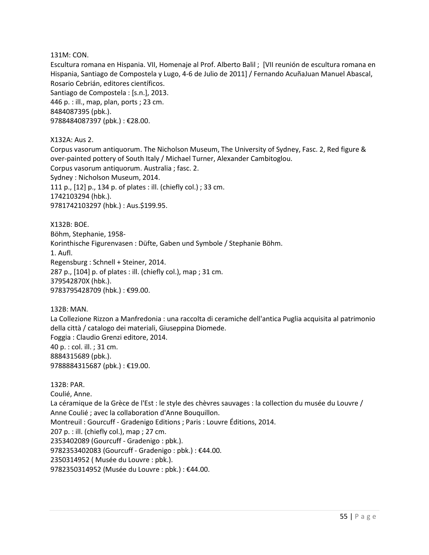131M: CON.

Escultura romana en Hispania. VII, Homenaje al Prof. Alberto Balil ; [VII reunión de escultura romana en Hispania, Santiago de Compostela y Lugo, 4-6 de Julio de 2011] / Fernando AcuñaJuan Manuel Abascal, Rosario Cebrián, editores científicos.

Santiago de Compostela : [s.n.], 2013. 446 p. : ill., map, plan, ports ; 23 cm. 8484087395 (pbk.). 9788484087397 (pbk.) : €28.00.

X132A: Aus 2.

Corpus vasorum antiquorum. The Nicholson Museum, The University of Sydney, Fasc. 2, Red figure & over-painted pottery of South Italy / Michael Turner, Alexander Cambitoglou. Corpus vasorum antiquorum. Australia ; fasc. 2. Sydney : Nicholson Museum, 2014. 111 p., [12] p., 134 p. of plates : ill. (chiefly col.) ; 33 cm. 1742103294 (hbk.). 9781742103297 (hbk.) : Aus.\$199.95.

X132B: BOE. Böhm, Stephanie, 1958- Korinthische Figurenvasen : Düfte, Gaben und Symbole / Stephanie Böhm. 1. Aufl. Regensburg : Schnell + Steiner, 2014. 287 p., [104] p. of plates : ill. (chiefly col.), map ; 31 cm. 379542870X (hbk.). 9783795428709 (hbk.) : €99.00.

132B: MAN. La Collezione Rizzon a Manfredonia : una raccolta di ceramiche dell'antica Puglia acquisita al patrimonio della città / catalogo dei materiali, Giuseppina Diomede. Foggia : Claudio Grenzi editore, 2014. 40 p. : col. ill. ; 31 cm. 8884315689 (pbk.). 9788884315687 (pbk.) : €19.00.

132B: PAR. Coulié, Anne. La céramique de la Grèce de l'Est : le style des chèvres sauvages : la collection du musée du Louvre / Anne Coulié ; avec la collaboration d'Anne Bouquillon. Montreuil : Gourcuff - Gradenigo Editions ; Paris : Louvre Éditions, 2014. 207 p. : ill. (chiefly col.), map ; 27 cm. 2353402089 (Gourcuff - Gradenigo : pbk.). 9782353402083 (Gourcuff - Gradenigo : pbk.) : €44.00. 2350314952 ( Musée du Louvre : pbk.). 9782350314952 (Musée du Louvre : pbk.) : €44.00.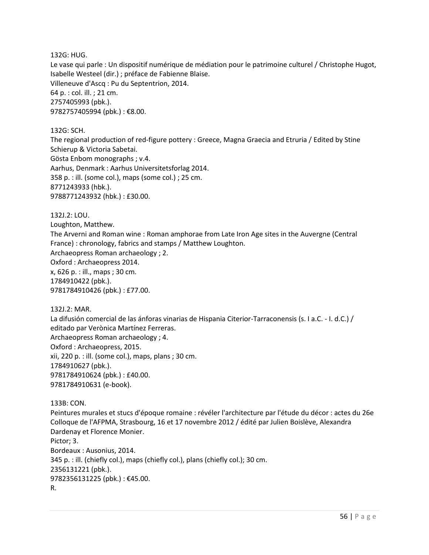132G: HUG.

Le vase qui parle : Un dispositif numérique de médiation pour le patrimoine culturel / Christophe Hugot, Isabelle Westeel (dir.) ; préface de Fabienne Blaise. Villeneuve d'Ascq : Pu du Septentrion, 2014. 64 p. : col. ill. ; 21 cm. 2757405993 (pbk.). 9782757405994 (pbk.) : €8.00.

132G: SCH.

The regional production of red-figure pottery : Greece, Magna Graecia and Etruria / Edited by Stine Schierup & Victoria Sabetai. Gösta Enbom monographs ; v.4. Aarhus, Denmark : Aarhus Universitetsforlag 2014. 358 p. : ill. (some col.), maps (some col.) ; 25 cm. 8771243933 (hbk.). 9788771243932 (hbk.) : £30.00.

132J.2: LOU.

Loughton, Matthew.

The Arverni and Roman wine : Roman amphorae from Late Iron Age sites in the Auvergne (Central France) : chronology, fabrics and stamps / Matthew Loughton.

Archaeopress Roman archaeology ; 2. Oxford : Archaeopress 2014. x, 626 p. : ill., maps ; 30 cm.

1784910422 (pbk.). 9781784910426 (pbk.) : £77.00.

132J.2: MAR.

La difusión comercial de las ánforas vinarias de Hispania Citerior-Tarraconensis (s. I a.C. - I. d.C.) / editado par Verònica Martínez Ferreras. Archaeopress Roman archaeology ; 4. Oxford : Archaeopress, 2015. xii, 220 p. : ill. (some col.), maps, plans ; 30 cm. 1784910627 (pbk.). 9781784910624 (pbk.) : £40.00. 9781784910631 (e-book).

133B: CON.

Peintures murales et stucs d'époque romaine : révéler l'architecture par l'étude du décor : actes du 26e Colloque de l'AFPMA, Strasbourg, 16 et 17 novembre 2012 / édité par Julien Boislève, Alexandra Dardenay et Florence Monier. Pictor; 3. Bordeaux : Ausonius, 2014. 345 p. : ill. (chiefly col.), maps (chiefly col.), plans (chiefly col.); 30 cm. 2356131221 (pbk.). 9782356131225 (pbk.) : €45.00. R.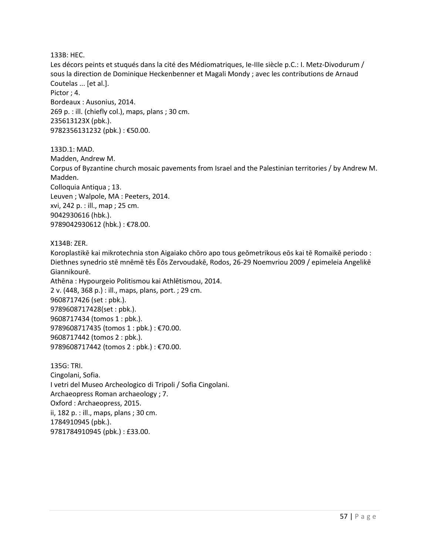133B: HEC.

Les décors peints et stuqués dans la cité des Médiomatriques, Ie-IIIe siècle p.C.: I. Metz-Divodurum / sous la direction de Dominique Heckenbenner et Magali Mondy ; avec les contributions de Arnaud Coutelas ... [et al.]. Pictor ; 4. Bordeaux : Ausonius, 2014. 269 p. : ill. (chiefly col.), maps, plans ; 30 cm. 235613123X (pbk.). 9782356131232 (pbk.) : €50.00.

133D.1: MAD. Madden, Andrew M. Corpus of Byzantine church mosaic pavements from Israel and the Palestinian territories / by Andrew M. Madden. Colloquia Antiqua ; 13. Leuven ; Walpole, MA : Peeters, 2014. xvi, 242 p. : ill., map ; 25 cm. 9042930616 (hbk.). 9789042930612 (hbk.) : €78.00.

X134B: ZER.

Koroplastikē kai mikrotechnia ston Aigaiako chōro apo tous geōmetrikous eōs kai tē Romaikē periodo : Diethnes synedrio stē mnēmē tēs Ēōs Zervoudakē, Rodos, 26-29 Noemvriou 2009 / epimeleia Angelikē Giannikourē. Athēna : Hypourgeio Politismou kai Athlētismou, 2014. 2 v. (448, 368 p.) : ill., maps, plans, port. ; 29 cm. 9608717426 (set : pbk.). 9789608717428(set : pbk.). 9608717434 (tomos 1 : pbk.). 9789608717435 (tomos 1 : pbk.) : €70.00. 9608717442 (tomos 2 : pbk.). 9789608717442 (tomos 2 : pbk.) : €70.00.

135G: TRI. Cingolani, Sofia. I vetri del Museo Archeologico di Tripoli / Sofia Cingolani. Archaeopress Roman archaeology ; 7. Oxford : Archaeopress, 2015. ii, 182 p. : ill., maps, plans ; 30 cm. 1784910945 (pbk.). 9781784910945 (pbk.) : £33.00.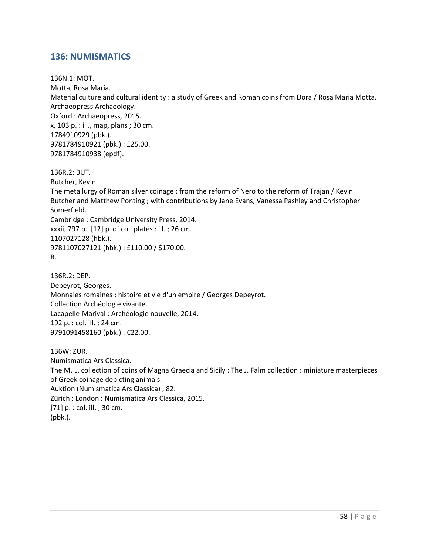## <span id="page-57-0"></span>**136: NUMISMATICS**

136N.1: MOT. Motta, Rosa Maria. Material culture and cultural identity : a study of Greek and Roman coins from Dora / Rosa Maria Motta. Archaeopress Archaeology. Oxford : Archaeopress, 2015. x, 103 p. : ill., map, plans ; 30 cm. 1784910929 (pbk.). 9781784910921 (pbk.) : £25.00. 9781784910938 (epdf).

136R.2: BUT. Butcher, Kevin. The metallurgy of Roman silver coinage : from the reform of Nero to the reform of Trajan / Kevin Butcher and Matthew Ponting ; with contributions by Jane Evans, Vanessa Pashley and Christopher Somerfield. Cambridge : Cambridge University Press, 2014. xxxii, 797 p., [12] p. of col. plates : ill. ; 26 cm. 1107027128 (hbk.). 9781107027121 (hbk.) : £110.00 / \$170.00. R.

136R.2: DEP. Depeyrot, Georges. Monnaies romaines : histoire et vie d'un empire / Georges Depeyrot. Collection Archéologie vivante. Lacapelle-Marival : Archéologie nouvelle, 2014. 192 p. : col. ill. ; 24 cm. 9791091458160 (pbk.) : €22.00.

136W: ZUR. Numismatica Ars Classica. The M. L. collection of coins of Magna Graecia and Sicily : The J. Falm collection : miniature masterpieces of Greek coinage depicting animals. Auktion (Numismatica Ars Classica) ; 82. Zürich : London : Numismatica Ars Classica, 2015. [71] p. : col. ill. ; 30 cm. (pbk.).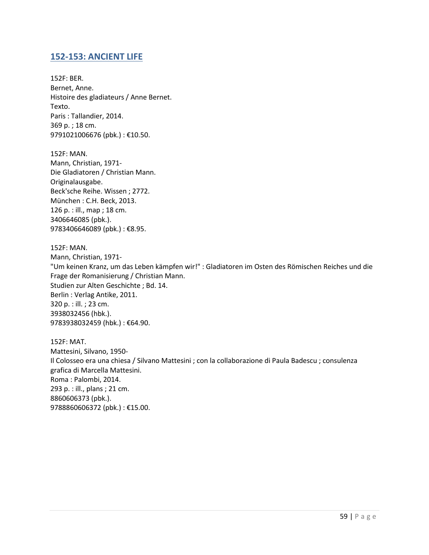## <span id="page-58-0"></span>**152-153: ANCIENT LIFE**

152F: BER. Bernet, Anne. Histoire des gladiateurs / Anne Bernet. Texto. Paris : Tallandier, 2014. 369 p. ; 18 cm. 9791021006676 (pbk.) : €10.50.

152F: MAN. Mann, Christian, 1971- Die Gladiatoren / Christian Mann. Originalausgabe. Beck'sche Reihe. Wissen ; 2772. München : C.H. Beck, 2013. 126 p. : ill., map ; 18 cm. 3406646085 (pbk.). 9783406646089 (pbk.) : €8.95.

152F: MAN. Mann, Christian, 1971- "Um keinen Kranz, um das Leben kämpfen wir!" : Gladiatoren im Osten des Römischen Reiches und die Frage der Romanisierung / Christian Mann. Studien zur Alten Geschichte ; Bd. 14. Berlin : Verlag Antike, 2011. 320 p. : ill. ; 23 cm. 3938032456 (hbk.). 9783938032459 (hbk.) : €64.90.

152F: MAT. Mattesini, Silvano, 1950- Il Colosseo era una chiesa / Silvano Mattesini ; con la collaborazione di Paula Badescu ; consulenza grafica di Marcella Mattesini. Roma : Palombi, 2014. 293 p. : ill., plans ; 21 cm. 8860606373 (pbk.). 9788860606372 (pbk.) : €15.00.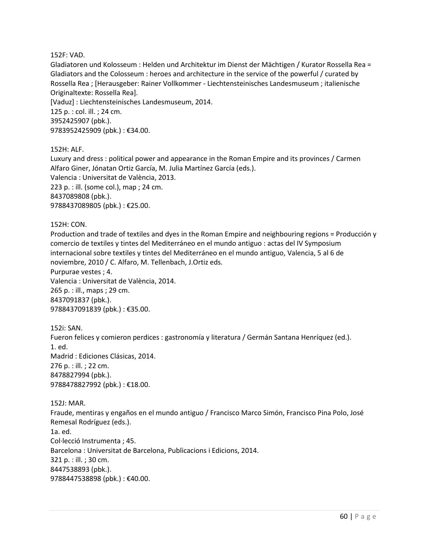#### 152F: VAD.

Gladiatoren und Kolosseum : Helden und Architektur im Dienst der Mächtigen / Kurator Rossella Rea = Gladiators and the Colosseum : heroes and architecture in the service of the powerful / curated by Rossella Rea ; [Herausgeber: Rainer Vollkommer - Liechtensteinisches Landesmuseum ; italienische Originaltexte: Rossella Rea]. [Vaduz] : Liechtensteinisches Landesmuseum, 2014.

125 p. : col. ill. ; 24 cm. 3952425907 (pbk.). 9783952425909 (pbk.) : €34.00.

#### 152H: ALF.

Luxury and dress : political power and appearance in the Roman Empire and its provinces / Carmen Alfaro Giner, Jónatan Ortiz García, M. Julia Martínez García (eds.). Valencia : Universitat de València, 2013. 223 p. : ill. (some col.), map ; 24 cm. 8437089808 (pbk.). 9788437089805 (pbk.) : €25.00.

152H: CON.

Production and trade of textiles and dyes in the Roman Empire and neighbouring regions = Producción y comercio de textiles y tintes del Mediterráneo en el mundo antiguo : actas del IV Symposium internacional sobre textiles y tintes del Mediterráneo en el mundo antiguo, Valencia, 5 al 6 de noviembre, 2010 / C. Alfaro, M. Tellenbach, J.Ortiz eds. Purpurae vestes ; 4. Valencia : Universitat de València, 2014. 265 p. : ill., maps ; 29 cm. 8437091837 (pbk.).

9788437091839 (pbk.) : €35.00.

152i: SAN. Fueron felices y comieron perdices : gastronomía y literatura / Germán Santana Henríquez (ed.). 1. ed. Madrid : Ediciones Clásicas, 2014. 276 p. : ill. ; 22 cm. 8478827994 (pbk.). 9788478827992 (pbk.) : €18.00.

152J: MAR. Fraude, mentiras y engaños en el mundo antiguo / Francisco Marco Simón, Francisco Pina Polo, José Remesal Rodríguez (eds.). 1a. ed. Col·lecció Instrumenta ; 45. Barcelona : Universitat de Barcelona, Publicacions i Edicions, 2014. 321 p. : ill. ; 30 cm. 8447538893 (pbk.). 9788447538898 (pbk.) : €40.00.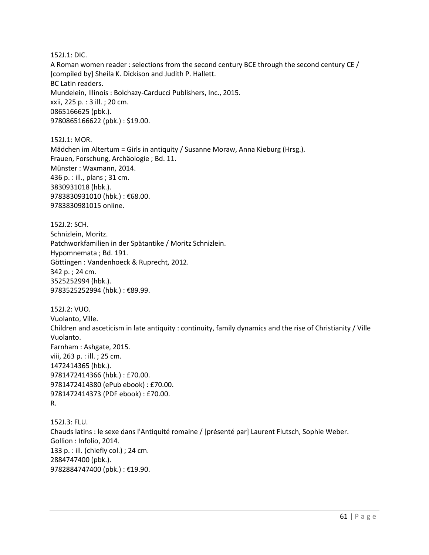152J.1: DIC.

A Roman women reader : selections from the second century BCE through the second century CE / [compiled by] Sheila K. Dickison and Judith P. Hallett. BC Latin readers. Mundelein, Illinois : Bolchazy-Carducci Publishers, Inc., 2015. xxii, 225 p. : 3 ill. ; 20 cm. 0865166625 (pbk.). 9780865166622 (pbk.) : \$19.00.

152J.1: MOR. Mädchen im Altertum = Girls in antiquity / Susanne Moraw, Anna Kieburg (Hrsg.). Frauen, Forschung, Archäologie ; Bd. 11. Münster : Waxmann, 2014. 436 p. : ill., plans ; 31 cm. 3830931018 (hbk.). 9783830931010 (hbk.) : €68.00. 9783830981015 online.

152J.2: SCH. Schnizlein, Moritz. Patchworkfamilien in der Spätantike / Moritz Schnizlein. Hypomnemata ; Bd. 191. Göttingen : Vandenhoeck & Ruprecht, 2012. 342 p. ; 24 cm. 3525252994 (hbk.). 9783525252994 (hbk.) : €89.99.

152J.2: VUO. Vuolanto, Ville. Children and asceticism in late antiquity : continuity, family dynamics and the rise of Christianity / Ville Vuolanto. Farnham : Ashgate, 2015. viii, 263 p. : ill. ; 25 cm. 1472414365 (hbk.). 9781472414366 (hbk.) : £70.00. 9781472414380 (ePub ebook) : £70.00. 9781472414373 (PDF ebook) : £70.00. R.

152J.3: FLU. Chauds latins : le sexe dans l'Antiquité romaine / [présenté par] Laurent Flutsch, Sophie Weber. Gollion : Infolio, 2014. 133 p. : ill. (chiefly col.) ; 24 cm. 2884747400 (pbk.). 9782884747400 (pbk.) : €19.90.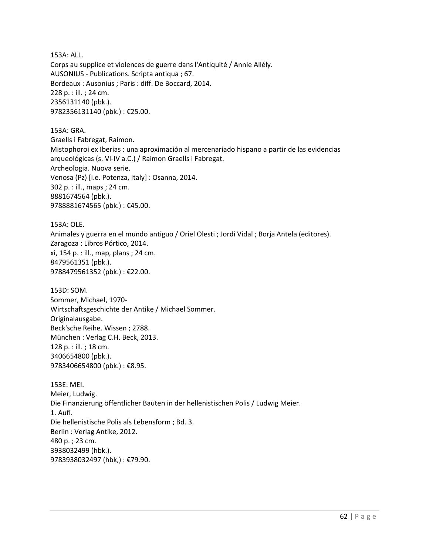153A: ALL. Corps au supplice et violences de guerre dans l'Antiquité / Annie Allély. AUSONIUS - Publications. Scripta antiqua ; 67. Bordeaux : Ausonius ; Paris : diff. De Boccard, 2014. 228 p. : ill. ; 24 cm. 2356131140 (pbk.). 9782356131140 (pbk.) : €25.00.

153A: GRA. Graells i Fabregat, Raimon. Mistophoroi ex Iberias : una aproximación al mercenariado hispano a partir de las evidencias arqueológicas (s. VI-IV a.C.) / Raimon Graells i Fabregat. Archeologia. Nuova serie. Venosa (Pz) [i.e. Potenza, Italy] : Osanna, 2014. 302 p. : ill., maps ; 24 cm. 8881674564 (pbk.). 9788881674565 (pbk.) : €45.00.

153A: OLE. Animales y guerra en el mundo antiguo / Oriel Olesti ; Jordi Vidal ; Borja Antela (editores). Zaragoza : Libros Pórtico, 2014. xi, 154 p. : ill., map, plans ; 24 cm. 8479561351 (pbk.). 9788479561352 (pbk.) : €22.00.

153D: SOM. Sommer, Michael, 1970- Wirtschaftsgeschichte der Antike / Michael Sommer. Originalausgabe. Beck'sche Reihe. Wissen ; 2788. München : Verlag C.H. Beck, 2013. 128 p. : ill. ; 18 cm. 3406654800 (pbk.). 9783406654800 (pbk.) : €8.95.

153E: MEI. Meier, Ludwig. Die Finanzierung öffentlicher Bauten in der hellenistischen Polis / Ludwig Meier. 1. Aufl. Die hellenistische Polis als Lebensform ; Bd. 3. Berlin : Verlag Antike, 2012. 480 p. ; 23 cm. 3938032499 (hbk.). 9783938032497 (hbk,) : €79.90.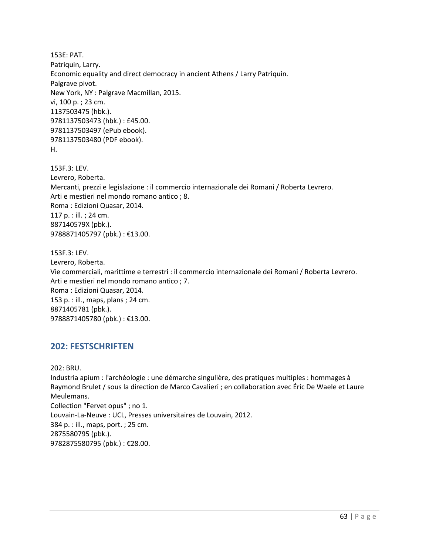153E: PAT. Patriquin, Larry. Economic equality and direct democracy in ancient Athens / Larry Patriquin. Palgrave pivot. New York, NY : Palgrave Macmillan, 2015. vi, 100 p. ; 23 cm. 1137503475 (hbk.). 9781137503473 (hbk.) : £45.00. 9781137503497 (ePub ebook). 9781137503480 (PDF ebook). H.

153F.3: LEV. Levrero, Roberta. Mercanti, prezzi e legislazione : il commercio internazionale dei Romani / Roberta Levrero. Arti e mestieri nel mondo romano antico ; 8. Roma : Edizioni Quasar, 2014. 117 p. : ill. ; 24 cm. 887140579X (pbk.). 9788871405797 (pbk.) : €13.00.

153F.3: LEV. Levrero, Roberta. Vie commerciali, marittime e terrestri : il commercio internazionale dei Romani / Roberta Levrero. Arti e mestieri nel mondo romano antico ; 7. Roma : Edizioni Quasar, 2014. 153 p. : ill., maps, plans ; 24 cm. 8871405781 (pbk.). 9788871405780 (pbk.) : €13.00.

## <span id="page-62-0"></span>**202: FESTSCHRIFTEN**

202: BRU. Industria apium : l'archéologie : une démarche singulière, des pratiques multiples : hommages à Raymond Brulet / sous la direction de Marco Cavalieri ; en collaboration avec Éric De Waele et Laure Meulemans. Collection "Fervet opus" ; no 1. Louvain-La-Neuve : UCL, Presses universitaires de Louvain, 2012. 384 p. : ill., maps, port. ; 25 cm. 2875580795 (pbk.). 9782875580795 (pbk.) : €28.00.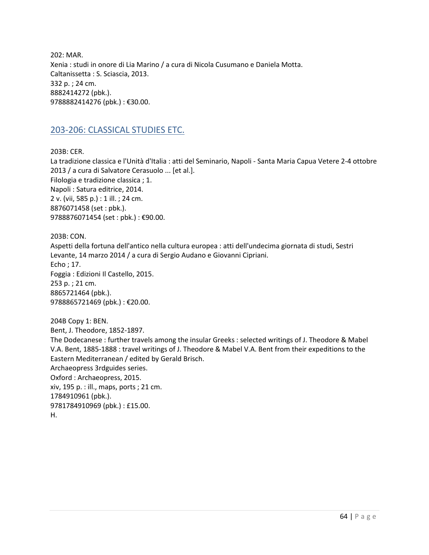202: MAR. Xenia : studi in onore di Lia Marino / a cura di Nicola Cusumano e Daniela Motta. Caltanissetta : S. Sciascia, 2013. 332 p. ; 24 cm. 8882414272 (pbk.). 9788882414276 (pbk.) : €30.00.

## <span id="page-63-0"></span>203-206: CLASSICAL STUDIES ETC.

203B: CER.

La tradizione classica e l'Unità d'Italia : atti del Seminario, Napoli - Santa Maria Capua Vetere 2-4 ottobre 2013 / a cura di Salvatore Cerasuolo ... [et al.]. Filologia e tradizione classica ; 1. Napoli : Satura editrice, 2014. 2 v. (vii, 585 p.) : 1 ill. ; 24 cm. 8876071458 (set : pbk.). 9788876071454 (set : pbk.) : €90.00.

203B: CON. Aspetti della fortuna dell'antico nella cultura europea : atti dell'undecima giornata di studi, Sestri Levante, 14 marzo 2014 / a cura di Sergio Audano e Giovanni Cipriani. Echo ; 17. Foggia : Edizioni Il Castello, 2015. 253 p. ; 21 cm. 8865721464 (pbk.). 9788865721469 (pbk.) : €20.00.

204B Copy 1: BEN. Bent, J. Theodore, 1852-1897. The Dodecanese : further travels among the insular Greeks : selected writings of J. Theodore & Mabel V.A. Bent, 1885-1888 : travel writings of J. Theodore & Mabel V.A. Bent from their expeditions to the Eastern Mediterranean / edited by Gerald Brisch. Archaeopress 3rdguides series. Oxford : Archaeopress, 2015. xiv, 195 p. : ill., maps, ports ; 21 cm. 1784910961 (pbk.). 9781784910969 (pbk.) : £15.00. H.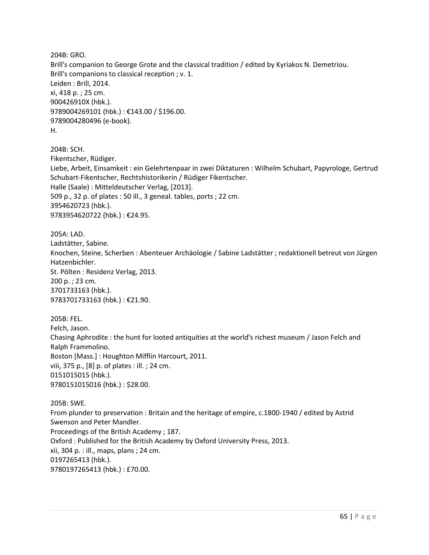204B: GRO. Brill's companion to George Grote and the classical tradition / edited by Kyriakos N. Demetriou. Brill's companions to classical reception ; v. 1. Leiden : Brill, 2014. xi, 418 p. ; 25 cm. 900426910X (hbk.). 9789004269101 (hbk.) : €143.00 / \$196.00. 9789004280496 (e-book). H. 204B: SCH. Fikentscher, Rüdiger. Liebe, Arbeit, Einsamkeit : ein Gelehrtenpaar in zwei Diktaturen : Wilhelm Schubart, Papyrologe, Gertrud Schubart-Fikentscher, Rechtshistorikerin / Rüdiger Fikentscher. Halle (Saale) : Mitteldeutscher Verlag, [2013].

509 p., 32 p. of plates : 50 ill., 3 geneal. tables, ports ; 22 cm. 3954620723 (hbk.). 9783954620722 (hbk.) : €24.95.

205A: LAD. Ladstätter, Sabine. Knochen, Steine, Scherben : Abenteuer Archäologie / Sabine Ladstätter ; redaktionell betreut von Jürgen Hatzenbichler. St. Pölten : Residenz Verlag, 2013. 200 p. ; 23 cm. 3701733163 (hbk.). 9783701733163 (hbk.) : €21.90.

205B: FEL. Felch, Jason. Chasing Aphrodite : the hunt for looted antiquities at the world's richest museum / Jason Felch and Ralph Frammolino. Boston [Mass.] : Houghton Mifflin Harcourt, 2011. viii, 375 p., [8] p. of plates : ill. ; 24 cm. 0151015015 (hbk.). 9780151015016 (hbk.) : \$28.00.

205B: SWE. From plunder to preservation : Britain and the heritage of empire, c.1800-1940 / edited by Astrid Swenson and Peter Mandler. Proceedings of the British Academy ; 187. Oxford : Published for the British Academy by Oxford University Press, 2013. xii, 304 p. : ill., maps, plans ; 24 cm. 0197265413 (hbk.). 9780197265413 (hbk.) : £70.00.